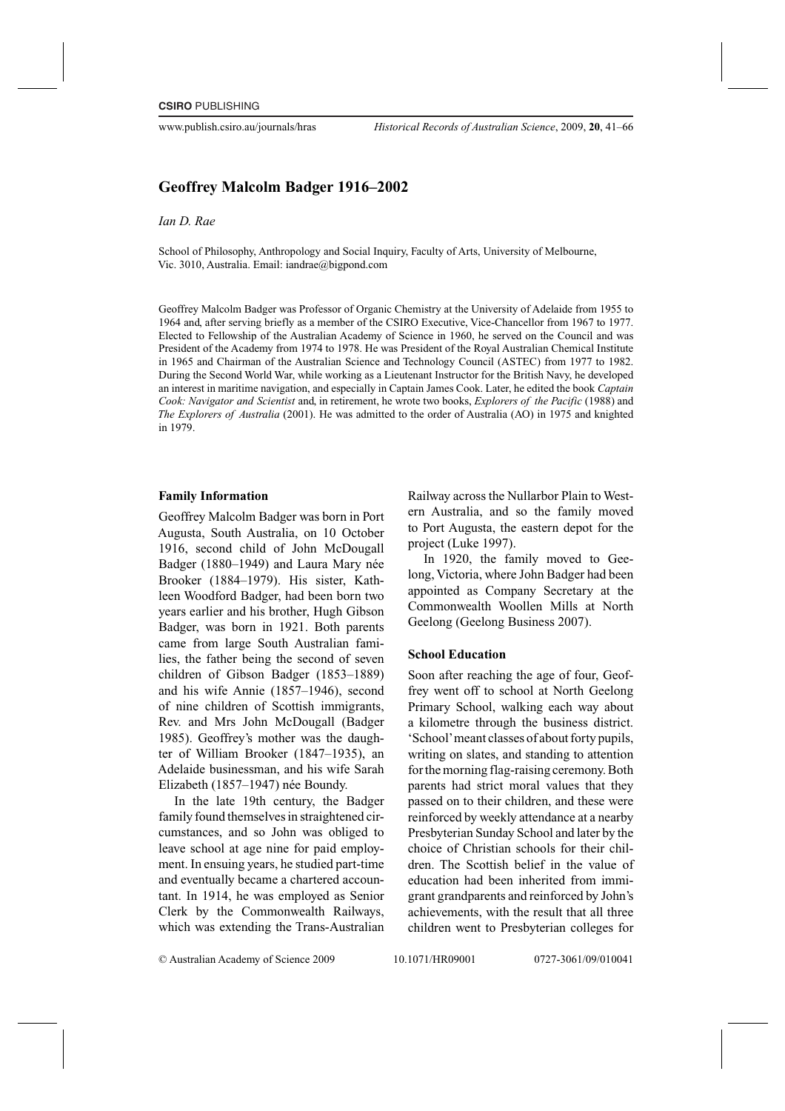# **Geoffrey Malcolm Badger 1916–2002**

### *Ian D. Rae*

School of Philosophy, Anthropology and Social Inquiry, Faculty of Arts, University of Melbourne, Vic. 3010, Australia. Email: iandrae@bigpond.com

Geoffrey Malcolm Badger was Professor of Organic Chemistry at the University of Adelaide from 1955 to 1964 and, after serving briefly as a member of the CSIRO Executive, Vice-Chancellor from 1967 to 1977. Elected to Fellowship of the Australian Academy of Science in 1960, he served on the Council and was President of the Academy from 1974 to 1978. He was President of the Royal Australian Chemical Institute in 1965 and Chairman of the Australian Science and Technology Council (ASTEC) from 1977 to 1982. During the Second World War, while working as a Lieutenant Instructor for the British Navy, he developed an interest in maritime navigation, and especially in Captain James Cook. Later, he edited the book *Captain Cook: Navigator and Scientist* and, in retirement, he wrote two books, *Explorers of the Pacific* (1988) and *The Explorers of Australia* (2001). He was admitted to the order of Australia (AO) in 1975 and knighted in 1979.

### **Family Information**

Geoffrey Malcolm Badger was born in Port Augusta, South Australia, on 10 October 1916, second child of John McDougall Badger (1880–1949) and Laura Mary née Brooker (1884–1979). His sister, Kathleen Woodford Badger, had been born two years earlier and his brother, Hugh Gibson Badger, was born in 1921. Both parents came from large South Australian families, the father being the second of seven children of Gibson Badger (1853–1889) and his wife Annie (1857–1946), second of nine children of Scottish immigrants, Rev. and Mrs John McDougall (Badger 1985). Geoffrey's mother was the daughter of William Brooker (1847–1935), an Adelaide businessman, and his wife Sarah Elizabeth (1857–1947) née Boundy.

In the late 19th century, the Badger family found themselves in straightened circumstances, and so John was obliged to leave school at age nine for paid employment. In ensuing years, he studied part-time and eventually became a chartered accountant. In 1914, he was employed as Senior Clerk by the Commonwealth Railways, which was extending the Trans-Australian Railway across the Nullarbor Plain to Western Australia, and so the family moved to Port Augusta, the eastern depot for the project (Luke 1997).

In 1920, the family moved to Geelong, Victoria, where John Badger had been appointed as Company Secretary at the Commonwealth Woollen Mills at North Geelong (Geelong Business 2007).

### **School Education**

Soon after reaching the age of four, Geoffrey went off to school at North Geelong Primary School, walking each way about a kilometre through the business district. 'School'meant classes of about forty pupils, writing on slates, and standing to attention for the morning flag-raising ceremony. Both parents had strict moral values that they passed on to their children, and these were reinforced by weekly attendance at a nearby Presbyterian Sunday School and later by the choice of Christian schools for their children. The Scottish belief in the value of education had been inherited from immigrant grandparents and reinforced by John's achievements, with the result that all three children went to Presbyterian colleges for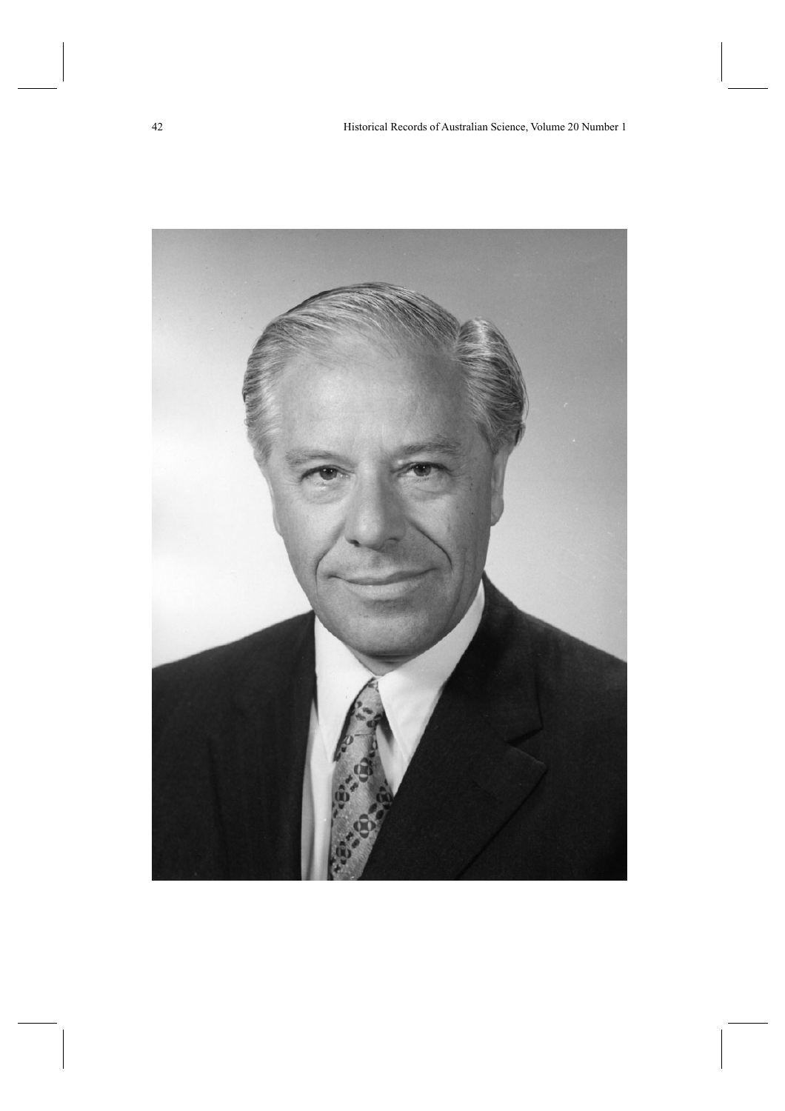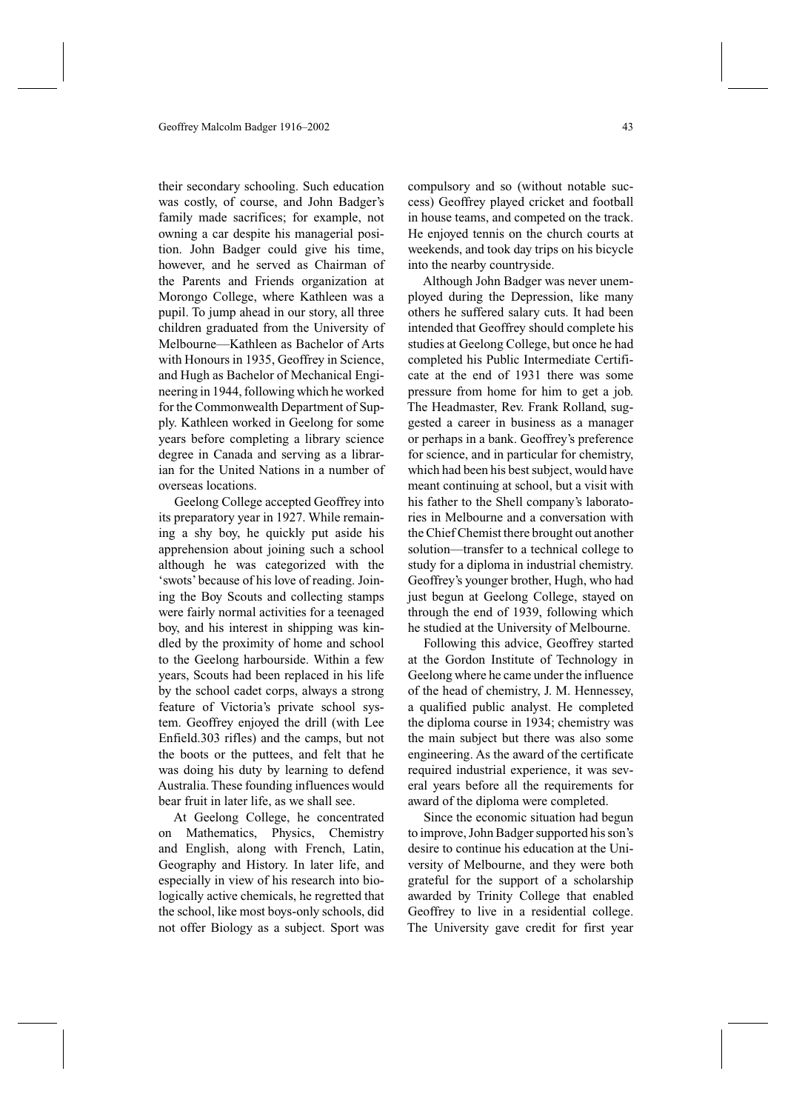their secondary schooling. Such education was costly, of course, and John Badger's family made sacrifices; for example, not owning a car despite his managerial position. John Badger could give his time, however, and he served as Chairman of the Parents and Friends organization at Morongo College, where Kathleen was a pupil. To jump ahead in our story, all three children graduated from the University of Melbourne—Kathleen as Bachelor of Arts with Honours in 1935, Geoffrey in Science, and Hugh as Bachelor of Mechanical Engineering in 1944, following which he worked for the Commonwealth Department of Supply. Kathleen worked in Geelong for some years before completing a library science degree in Canada and serving as a librarian for the United Nations in a number of overseas locations.

Geelong College accepted Geoffrey into its preparatory year in 1927. While remaining a shy boy, he quickly put aside his apprehension about joining such a school although he was categorized with the 'swots' because of his love of reading. Joining the Boy Scouts and collecting stamps were fairly normal activities for a teenaged boy, and his interest in shipping was kindled by the proximity of home and school to the Geelong harbourside. Within a few years, Scouts had been replaced in his life by the school cadet corps, always a strong feature of Victoria's private school system. Geoffrey enjoyed the drill (with Lee Enfield.303 rifles) and the camps, but not the boots or the puttees, and felt that he was doing his duty by learning to defend Australia. These founding influences would bear fruit in later life, as we shall see.

At Geelong College, he concentrated on Mathematics, Physics, Chemistry and English, along with French, Latin, Geography and History. In later life, and especially in view of his research into biologically active chemicals, he regretted that the school, like most boys-only schools, did not offer Biology as a subject. Sport was compulsory and so (without notable success) Geoffrey played cricket and football in house teams, and competed on the track. He enjoyed tennis on the church courts at weekends, and took day trips on his bicycle into the nearby countryside.

Although John Badger was never unemployed during the Depression, like many others he suffered salary cuts. It had been intended that Geoffrey should complete his studies at Geelong College, but once he had completed his Public Intermediate Certificate at the end of 1931 there was some pressure from home for him to get a job. The Headmaster, Rev. Frank Rolland, suggested a career in business as a manager or perhaps in a bank. Geoffrey's preference for science, and in particular for chemistry, which had been his best subject, would have meant continuing at school, but a visit with his father to the Shell company's laboratories in Melbourne and a conversation with the Chief Chemist there brought out another solution—transfer to a technical college to study for a diploma in industrial chemistry. Geoffrey's younger brother, Hugh, who had just begun at Geelong College, stayed on through the end of 1939, following which he studied at the University of Melbourne.

Following this advice, Geoffrey started at the Gordon Institute of Technology in Geelong where he came under the influence of the head of chemistry, J. M. Hennessey, a qualified public analyst. He completed the diploma course in 1934; chemistry was the main subject but there was also some engineering. As the award of the certificate required industrial experience, it was several years before all the requirements for award of the diploma were completed.

Since the economic situation had begun to improve, John Badger supported his son's desire to continue his education at the University of Melbourne, and they were both grateful for the support of a scholarship awarded by Trinity College that enabled Geoffrey to live in a residential college. The University gave credit for first year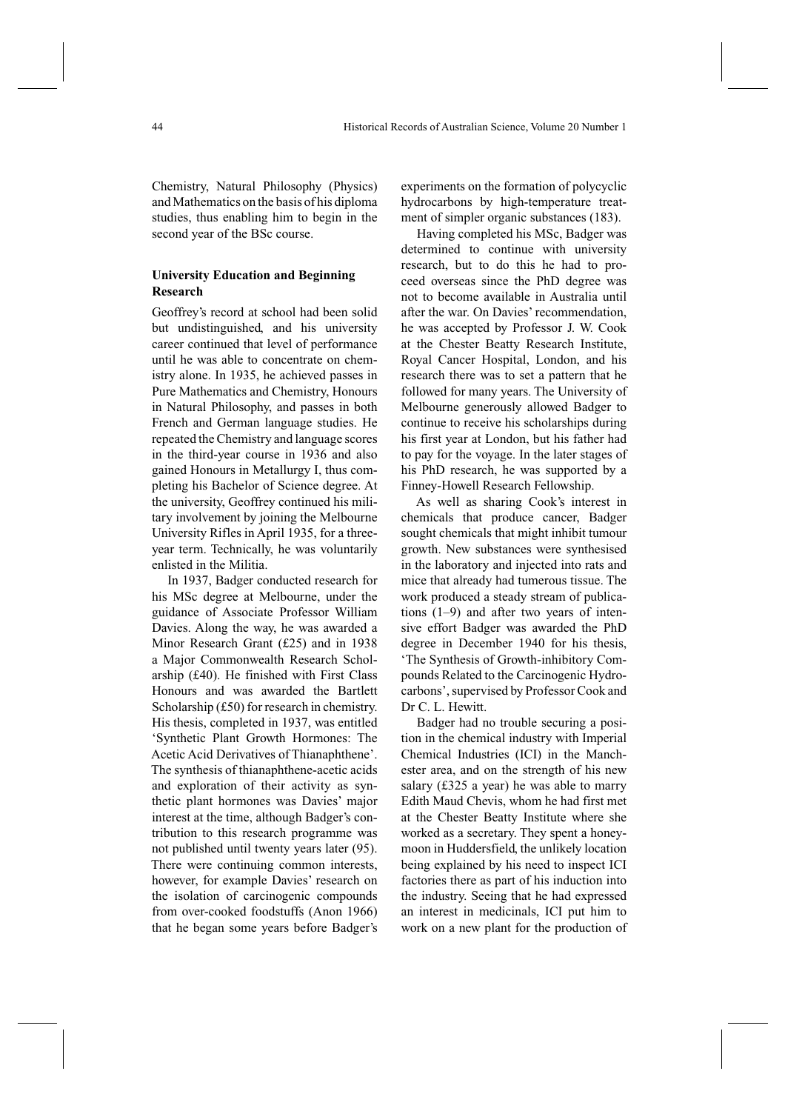Chemistry, Natural Philosophy (Physics) and Mathematics on the basis of his diploma studies, thus enabling him to begin in the second year of the BSc course.

# **University Education and Beginning Research**

Geoffrey's record at school had been solid but undistinguished, and his university career continued that level of performance until he was able to concentrate on chemistry alone. In 1935, he achieved passes in Pure Mathematics and Chemistry, Honours in Natural Philosophy, and passes in both French and German language studies. He repeated the Chemistry and language scores in the third-year course in 1936 and also gained Honours in Metallurgy I, thus completing his Bachelor of Science degree. At the university, Geoffrey continued his military involvement by joining the Melbourne University Rifles in April 1935, for a threeyear term. Technically, he was voluntarily enlisted in the Militia.

In 1937, Badger conducted research for his MSc degree at Melbourne, under the guidance of Associate Professor William Davies. Along the way, he was awarded a Minor Research Grant (£25) and in 1938 a Major Commonwealth Research Scholarship (£40). He finished with First Class Honours and was awarded the Bartlett Scholarship (£50) for research in chemistry. His thesis, completed in 1937, was entitled 'Synthetic Plant Growth Hormones: The Acetic Acid Derivatives of Thianaphthene'. The synthesis of thianaphthene-acetic acids and exploration of their activity as synthetic plant hormones was Davies' major interest at the time, although Badger's contribution to this research programme was not published until twenty years later (95). There were continuing common interests, however, for example Davies' research on the isolation of carcinogenic compounds from over-cooked foodstuffs (Anon 1966) that he began some years before Badger's experiments on the formation of polycyclic hydrocarbons by high-temperature treatment of simpler organic substances (183).

Having completed his MSc, Badger was determined to continue with university research, but to do this he had to proceed overseas since the PhD degree was not to become available in Australia until after the war. On Davies' recommendation, he was accepted by Professor J. W. Cook at the Chester Beatty Research Institute, Royal Cancer Hospital, London, and his research there was to set a pattern that he followed for many years. The University of Melbourne generously allowed Badger to continue to receive his scholarships during his first year at London, but his father had to pay for the voyage. In the later stages of his PhD research, he was supported by a Finney-Howell Research Fellowship.

As well as sharing Cook's interest in chemicals that produce cancer, Badger sought chemicals that might inhibit tumour growth. New substances were synthesised in the laboratory and injected into rats and mice that already had tumerous tissue. The work produced a steady stream of publications (1–9) and after two years of intensive effort Badger was awarded the PhD degree in December 1940 for his thesis, 'The Synthesis of Growth-inhibitory Compounds Related to the Carcinogenic Hydrocarbons', supervised by Professor Cook and Dr C. L. Hewitt.

Badger had no trouble securing a position in the chemical industry with Imperial Chemical Industries (ICI) in the Manchester area, and on the strength of his new salary (£325 a year) he was able to marry Edith Maud Chevis, whom he had first met at the Chester Beatty Institute where she worked as a secretary. They spent a honeymoon in Huddersfield, the unlikely location being explained by his need to inspect ICI factories there as part of his induction into the industry. Seeing that he had expressed an interest in medicinals, ICI put him to work on a new plant for the production of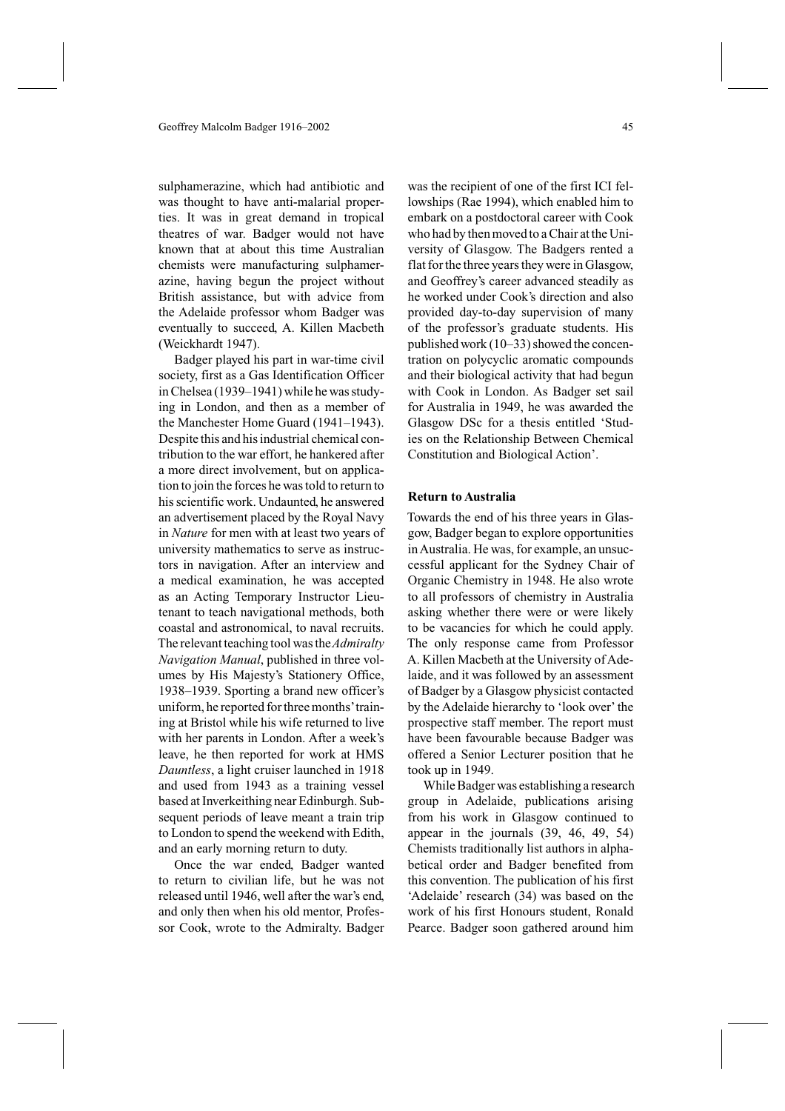sulphamerazine, which had antibiotic and was thought to have anti-malarial properties. It was in great demand in tropical theatres of war. Badger would not have known that at about this time Australian chemists were manufacturing sulphamerazine, having begun the project without British assistance, but with advice from the Adelaide professor whom Badger was eventually to succeed, A. Killen Macbeth (Weickhardt 1947).

Badger played his part in war-time civil society, first as a Gas Identification Officer in Chelsea (1939–1941) while he was studying in London, and then as a member of the Manchester Home Guard (1941–1943). Despite this and his industrial chemical contribution to the war effort, he hankered after a more direct involvement, but on application to join the forces he was told to return to his scientific work. Undaunted, he answered an advertisement placed by the Royal Navy in *Nature* for men with at least two years of university mathematics to serve as instructors in navigation. After an interview and a medical examination, he was accepted as an Acting Temporary Instructor Lieutenant to teach navigational methods, both coastal and astronomical, to naval recruits. The relevant teaching tool was the*Admiralty Navigation Manual*, published in three volumes by His Majesty's Stationery Office, 1938–1939. Sporting a brand new officer's uniform, he reported for three months'training at Bristol while his wife returned to live with her parents in London. After a week's leave, he then reported for work at HMS *Dauntless*, a light cruiser launched in 1918 and used from 1943 as a training vessel based at Inverkeithing near Edinburgh. Subsequent periods of leave meant a train trip to London to spend the weekend with Edith, and an early morning return to duty.

Once the war ended, Badger wanted to return to civilian life, but he was not released until 1946, well after the war's end, and only then when his old mentor, Professor Cook, wrote to the Admiralty. Badger was the recipient of one of the first ICI fellowships (Rae 1994), which enabled him to embark on a postdoctoral career with Cook who had by then moved to a Chair at the University of Glasgow. The Badgers rented a flat for the three years they were in Glasgow, and Geoffrey's career advanced steadily as he worked under Cook's direction and also provided day-to-day supervision of many of the professor's graduate students. His published work (10–33) showed the concentration on polycyclic aromatic compounds and their biological activity that had begun with Cook in London. As Badger set sail for Australia in 1949, he was awarded the Glasgow DSc for a thesis entitled 'Studies on the Relationship Between Chemical Constitution and Biological Action'.

#### **Return to Australia**

Towards the end of his three years in Glasgow, Badger began to explore opportunities inAustralia. He was, for example, an unsuccessful applicant for the Sydney Chair of Organic Chemistry in 1948. He also wrote to all professors of chemistry in Australia asking whether there were or were likely to be vacancies for which he could apply. The only response came from Professor A. Killen Macbeth at the University of Adelaide, and it was followed by an assessment of Badger by a Glasgow physicist contacted by the Adelaide hierarchy to 'look over' the prospective staff member. The report must have been favourable because Badger was offered a Senior Lecturer position that he took up in 1949.

While Badger was establishing a research group in Adelaide, publications arising from his work in Glasgow continued to appear in the journals (39, 46, 49, 54) Chemists traditionally list authors in alphabetical order and Badger benefited from this convention. The publication of his first 'Adelaide' research (34) was based on the work of his first Honours student, Ronald Pearce. Badger soon gathered around him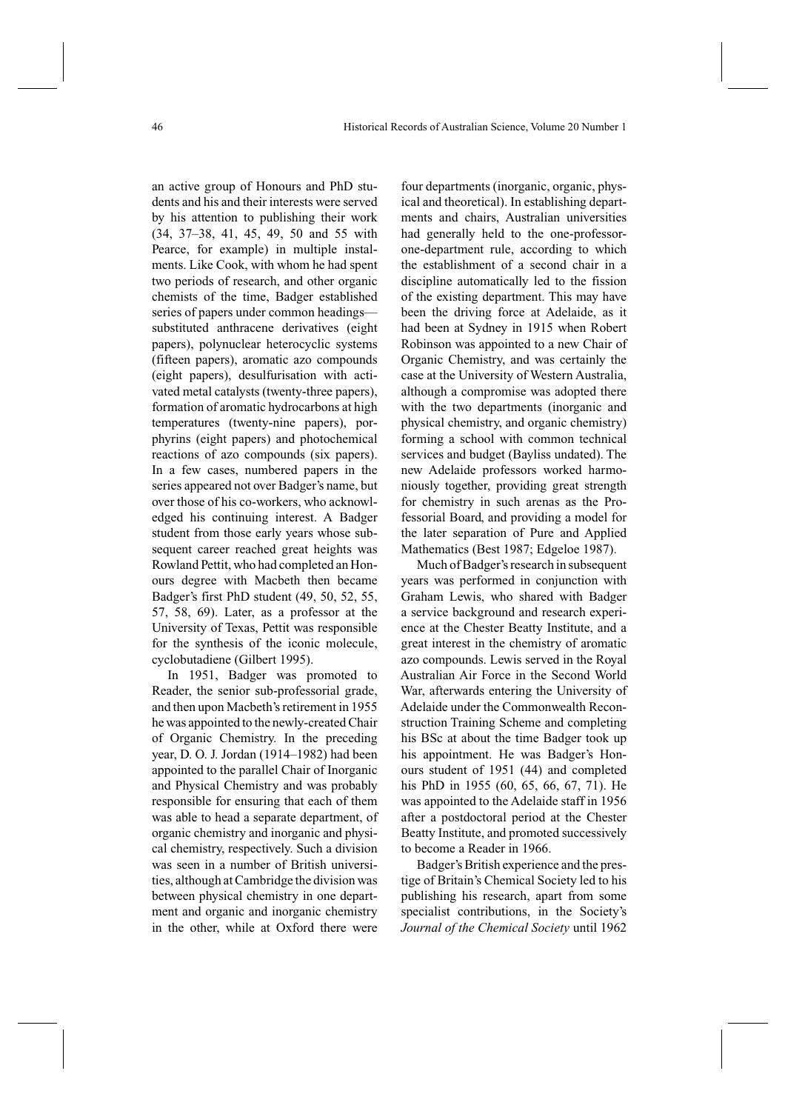an active group of Honours and PhD students and his and their interests were served by his attention to publishing their work (34, 37–38, 41, 45, 49, 50 and 55 with Pearce, for example) in multiple instalments. Like Cook, with whom he had spent two periods of research, and other organic chemists of the time, Badger established series of papers under common headings substituted anthracene derivatives (eight papers), polynuclear heterocyclic systems (fifteen papers), aromatic azo compounds (eight papers), desulfurisation with activated metal catalysts (twenty-three papers), formation of aromatic hydrocarbons at high temperatures (twenty-nine papers), porphyrins (eight papers) and photochemical reactions of azo compounds (six papers). In a few cases, numbered papers in the series appeared not over Badger's name, but over those of his co-workers, who acknowledged his continuing interest. A Badger student from those early years whose subsequent career reached great heights was Rowland Pettit, who had completed an Honours degree with Macbeth then became Badger's first PhD student (49, 50, 52, 55, 57, 58, 69). Later, as a professor at the University of Texas, Pettit was responsible for the synthesis of the iconic molecule, cyclobutadiene (Gilbert 1995).

In 1951, Badger was promoted to Reader, the senior sub-professorial grade, and then upon Macbeth's retirement in 1955 he was appointed to the newly-created Chair of Organic Chemistry. In the preceding year, D. O. J. Jordan (1914–1982) had been appointed to the parallel Chair of Inorganic and Physical Chemistry and was probably responsible for ensuring that each of them was able to head a separate department, of organic chemistry and inorganic and physical chemistry, respectively. Such a division was seen in a number of British universities, although at Cambridge the division was between physical chemistry in one department and organic and inorganic chemistry in the other, while at Oxford there were four departments (inorganic, organic, physical and theoretical). In establishing departments and chairs, Australian universities had generally held to the one-professorone-department rule, according to which the establishment of a second chair in a discipline automatically led to the fission of the existing department. This may have been the driving force at Adelaide, as it had been at Sydney in 1915 when Robert Robinson was appointed to a new Chair of Organic Chemistry, and was certainly the case at the University of Western Australia, although a compromise was adopted there with the two departments (inorganic and physical chemistry, and organic chemistry) forming a school with common technical services and budget (Bayliss undated). The new Adelaide professors worked harmoniously together, providing great strength for chemistry in such arenas as the Professorial Board, and providing a model for the later separation of Pure and Applied Mathematics (Best 1987; Edgeloe 1987).

Much of Badger's research in subsequent years was performed in conjunction with Graham Lewis, who shared with Badger a service background and research experience at the Chester Beatty Institute, and a great interest in the chemistry of aromatic azo compounds. Lewis served in the Royal Australian Air Force in the Second World War, afterwards entering the University of Adelaide under the Commonwealth Reconstruction Training Scheme and completing his BSc at about the time Badger took up his appointment. He was Badger's Honours student of 1951 (44) and completed his PhD in 1955 (60, 65, 66, 67, 71). He was appointed to the Adelaide staff in 1956 after a postdoctoral period at the Chester Beatty Institute, and promoted successively to become a Reader in 1966.

Badger's British experience and the prestige of Britain's Chemical Society led to his publishing his research, apart from some specialist contributions, in the Society's *Journal of the Chemical Society* until 1962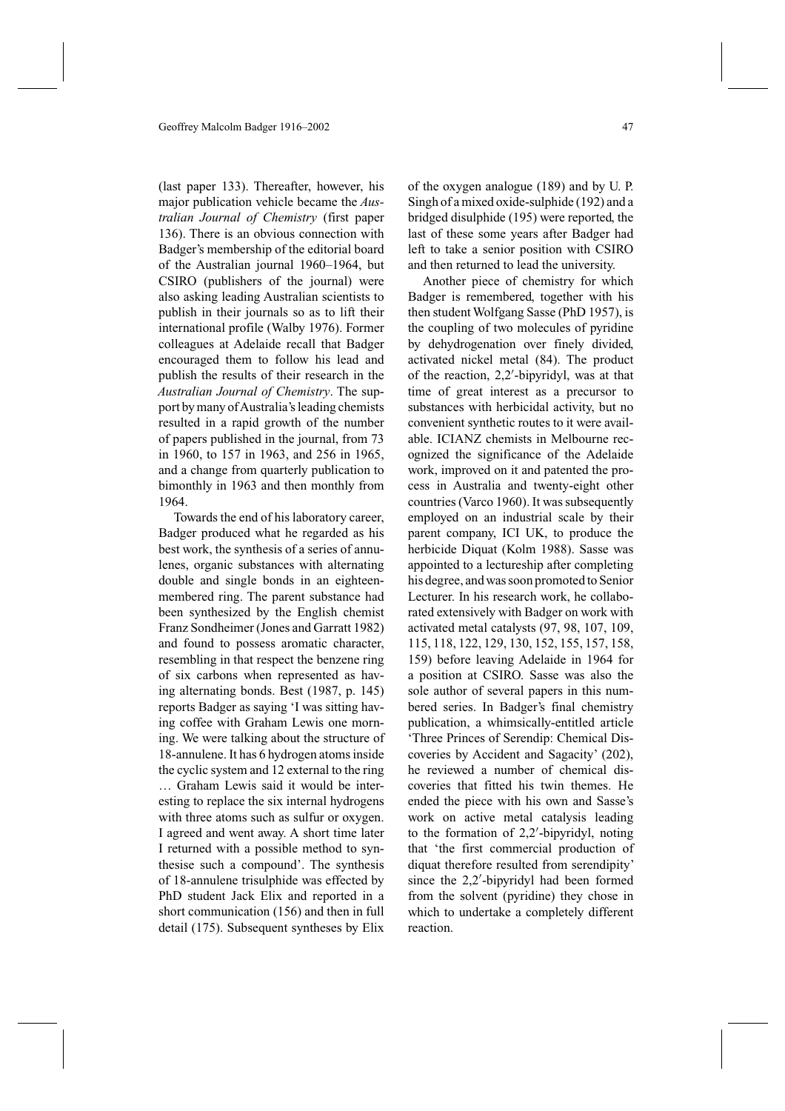(last paper 133). Thereafter, however, his major publication vehicle became the *Australian Journal of Chemistry* (first paper 136). There is an obvious connection with Badger's membership of the editorial board of the Australian journal 1960–1964, but CSIRO (publishers of the journal) were also asking leading Australian scientists to publish in their journals so as to lift their international profile (Walby 1976). Former colleagues at Adelaide recall that Badger encouraged them to follow his lead and publish the results of their research in the *Australian Journal of Chemistry*. The support by many of Australia's leading chemists resulted in a rapid growth of the number of papers published in the journal, from 73 in 1960, to 157 in 1963, and 256 in 1965, and a change from quarterly publication to bimonthly in 1963 and then monthly from 1964.

Towards the end of his laboratory career, Badger produced what he regarded as his best work, the synthesis of a series of annulenes, organic substances with alternating double and single bonds in an eighteenmembered ring. The parent substance had been synthesized by the English chemist Franz Sondheimer (Jones and Garratt 1982) and found to possess aromatic character, resembling in that respect the benzene ring of six carbons when represented as having alternating bonds. Best (1987, p. 145) reports Badger as saying 'I was sitting having coffee with Graham Lewis one morning. We were talking about the structure of 18-annulene. It has 6 hydrogen atoms inside the cyclic system and 12 external to the ring … Graham Lewis said it would be interesting to replace the six internal hydrogens with three atoms such as sulfur or oxygen. I agreed and went away. A short time later I returned with a possible method to synthesise such a compound'. The synthesis of 18-annulene trisulphide was effected by PhD student Jack Elix and reported in a short communication (156) and then in full detail (175). Subsequent syntheses by Elix of the oxygen analogue (189) and by U. P. Singh of a mixed oxide-sulphide (192) and a bridged disulphide (195) were reported, the last of these some years after Badger had left to take a senior position with CSIRO and then returned to lead the university.

Another piece of chemistry for which Badger is remembered, together with his then student Wolfgang Sasse (PhD 1957), is the coupling of two molecules of pyridine by dehydrogenation over finely divided, activated nickel metal (84). The product of the reaction, 2,2 -bipyridyl, was at that time of great interest as a precursor to substances with herbicidal activity, but no convenient synthetic routes to it were available. ICIANZ chemists in Melbourne recognized the significance of the Adelaide work, improved on it and patented the process in Australia and twenty-eight other countries (Varco 1960). It was subsequently employed on an industrial scale by their parent company, ICI UK, to produce the herbicide Diquat (Kolm 1988). Sasse was appointed to a lectureship after completing his degree, and was soon promoted to Senior Lecturer. In his research work, he collaborated extensively with Badger on work with activated metal catalysts (97, 98, 107, 109, 115, 118, 122, 129, 130, 152, 155, 157, 158, 159) before leaving Adelaide in 1964 for a position at CSIRO. Sasse was also the sole author of several papers in this numbered series. In Badger's final chemistry publication, a whimsically-entitled article 'Three Princes of Serendip: Chemical Discoveries by Accident and Sagacity' (202), he reviewed a number of chemical discoveries that fitted his twin themes. He ended the piece with his own and Sasse's work on active metal catalysis leading to the formation of 2,2 -bipyridyl, noting that 'the first commercial production of diquat therefore resulted from serendipity' since the 2,2 -bipyridyl had been formed from the solvent (pyridine) they chose in which to undertake a completely different reaction.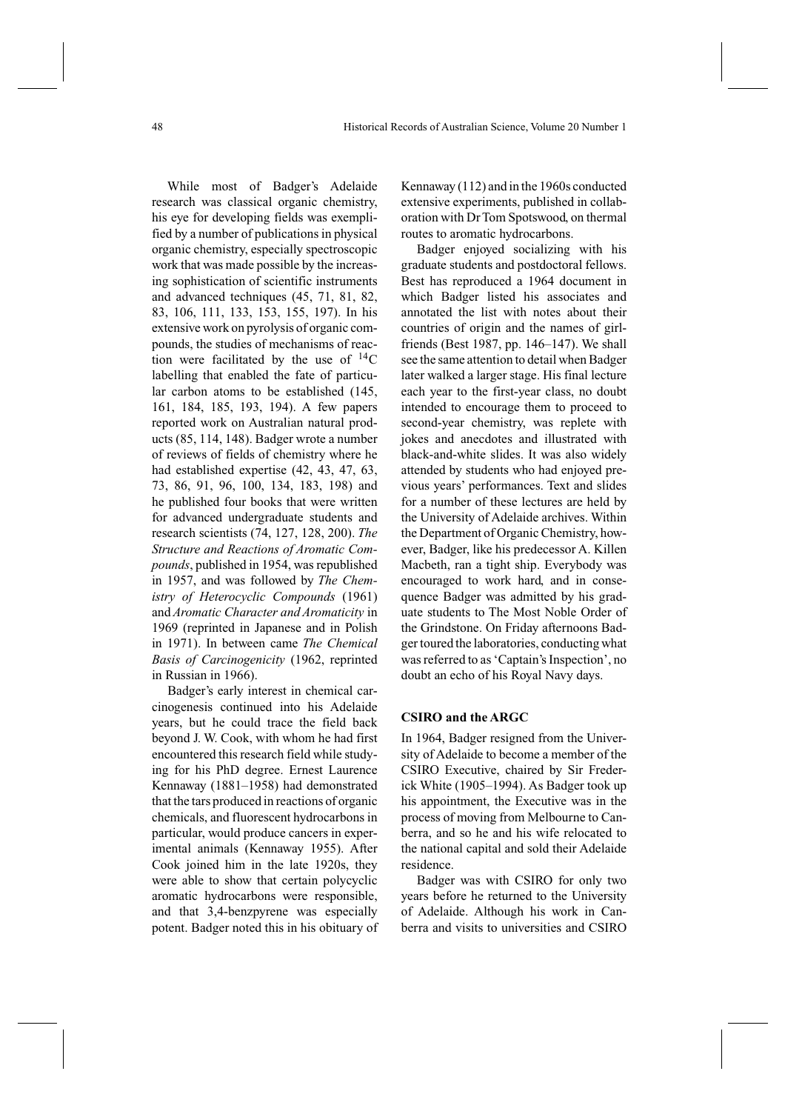While most of Badger's Adelaide research was classical organic chemistry, his eye for developing fields was exemplified by a number of publications in physical organic chemistry, especially spectroscopic work that was made possible by the increasing sophistication of scientific instruments and advanced techniques (45, 71, 81, 82, 83, 106, 111, 133, 153, 155, 197). In his extensive work on pyrolysis of organic compounds, the studies of mechanisms of reaction were facilitated by the use of  $^{14}$ C labelling that enabled the fate of particular carbon atoms to be established (145, 161, 184, 185, 193, 194). A few papers reported work on Australian natural products (85, 114, 148). Badger wrote a number of reviews of fields of chemistry where he had established expertise (42, 43, 47, 63, 73, 86, 91, 96, 100, 134, 183, 198) and he published four books that were written for advanced undergraduate students and research scientists (74, 127, 128, 200). *The Structure and Reactions of Aromatic Compounds*, published in 1954, was republished in 1957, and was followed by *The Chemistry of Heterocyclic Compounds* (1961) and *Aromatic Character and Aromaticity* in 1969 (reprinted in Japanese and in Polish in 1971). In between came *The Chemical Basis of Carcinogenicity* (1962, reprinted in Russian in 1966).

Badger's early interest in chemical carcinogenesis continued into his Adelaide years, but he could trace the field back beyond J. W. Cook, with whom he had first encountered this research field while studying for his PhD degree. Ernest Laurence Kennaway (1881–1958) had demonstrated that the tars produced in reactions of organic chemicals, and fluorescent hydrocarbons in particular, would produce cancers in experimental animals (Kennaway 1955). After Cook joined him in the late 1920s, they were able to show that certain polycyclic aromatic hydrocarbons were responsible, and that 3,4-benzpyrene was especially potent. Badger noted this in his obituary of Kennaway (112) and in the 1960s conducted extensive experiments, published in collaboration with Dr Tom Spotswood, on thermal routes to aromatic hydrocarbons.

Badger enjoyed socializing with his graduate students and postdoctoral fellows. Best has reproduced a 1964 document in which Badger listed his associates and annotated the list with notes about their countries of origin and the names of girlfriends (Best 1987, pp. 146–147). We shall see the same attention to detail when Badger later walked a larger stage. His final lecture each year to the first-year class, no doubt intended to encourage them to proceed to second-year chemistry, was replete with jokes and anecdotes and illustrated with black-and-white slides. It was also widely attended by students who had enjoyed previous years' performances. Text and slides for a number of these lectures are held by the University of Adelaide archives. Within the Department of Organic Chemistry, however, Badger, like his predecessor A. Killen Macbeth, ran a tight ship. Everybody was encouraged to work hard, and in consequence Badger was admitted by his graduate students to The Most Noble Order of the Grindstone. On Friday afternoons Badger toured the laboratories, conducting what was referred to as 'Captain's Inspection', no doubt an echo of his Royal Navy days.

# **CSIRO and the ARGC**

In 1964, Badger resigned from the University of Adelaide to become a member of the CSIRO Executive, chaired by Sir Frederick White (1905–1994). As Badger took up his appointment, the Executive was in the process of moving from Melbourne to Canberra, and so he and his wife relocated to the national capital and sold their Adelaide residence.

Badger was with CSIRO for only two years before he returned to the University of Adelaide. Although his work in Canberra and visits to universities and CSIRO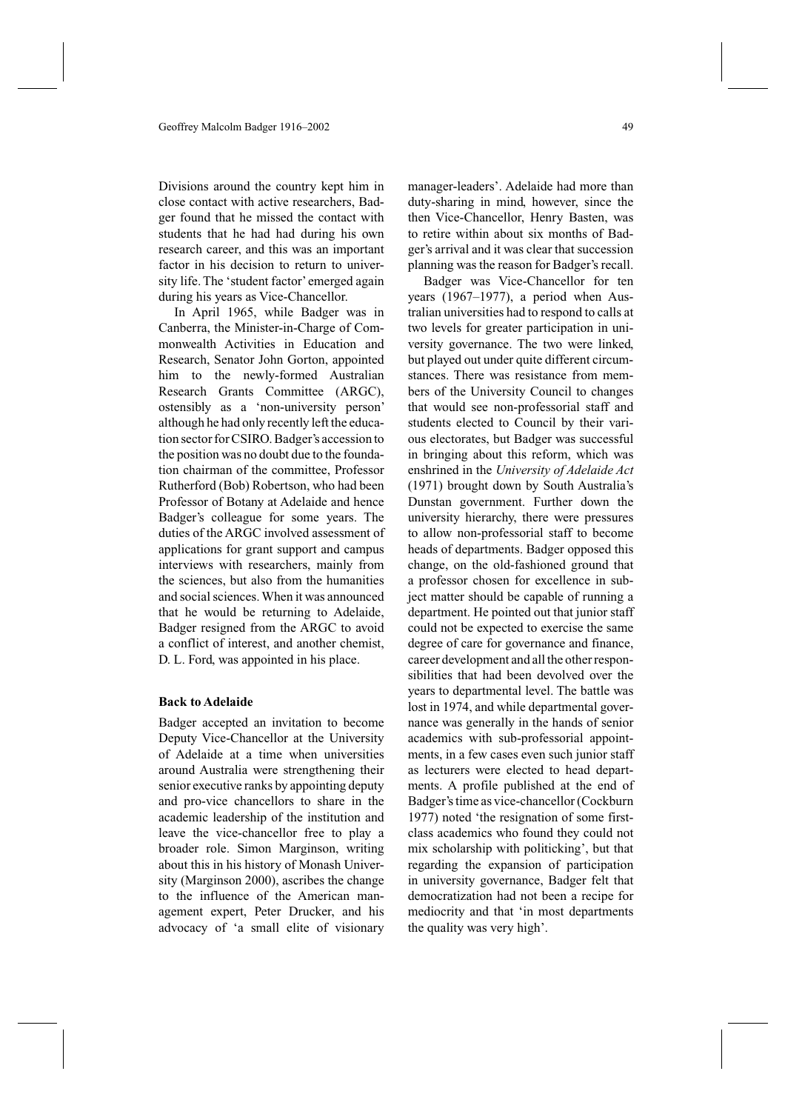Divisions around the country kept him in close contact with active researchers, Badger found that he missed the contact with students that he had had during his own research career, and this was an important factor in his decision to return to university life. The 'student factor' emerged again during his years as Vice-Chancellor.

In April 1965, while Badger was in Canberra, the Minister-in-Charge of Commonwealth Activities in Education and Research, Senator John Gorton, appointed him to the newly-formed Australian Research Grants Committee (ARGC), ostensibly as a 'non-university person' although he had only recently left the education sector for CSIRO. Badger's accession to the position was no doubt due to the foundation chairman of the committee, Professor Rutherford (Bob) Robertson, who had been Professor of Botany at Adelaide and hence Badger's colleague for some years. The duties of the ARGC involved assessment of applications for grant support and campus interviews with researchers, mainly from the sciences, but also from the humanities and social sciences. When it was announced that he would be returning to Adelaide, Badger resigned from the ARGC to avoid a conflict of interest, and another chemist, D. L. Ford, was appointed in his place.

### **Back to Adelaide**

Badger accepted an invitation to become Deputy Vice-Chancellor at the University of Adelaide at a time when universities around Australia were strengthening their senior executive ranks by appointing deputy and pro-vice chancellors to share in the academic leadership of the institution and leave the vice-chancellor free to play a broader role. Simon Marginson, writing about this in his history of Monash University (Marginson 2000), ascribes the change to the influence of the American management expert, Peter Drucker, and his advocacy of 'a small elite of visionary manager-leaders'. Adelaide had more than duty-sharing in mind, however, since the then Vice-Chancellor, Henry Basten, was to retire within about six months of Badger's arrival and it was clear that succession planning was the reason for Badger's recall.

Badger was Vice-Chancellor for ten years (1967–1977), a period when Australian universities had to respond to calls at two levels for greater participation in university governance. The two were linked, but played out under quite different circumstances. There was resistance from members of the University Council to changes that would see non-professorial staff and students elected to Council by their various electorates, but Badger was successful in bringing about this reform, which was enshrined in the *University of Adelaide Act* (1971) brought down by South Australia's Dunstan government. Further down the university hierarchy, there were pressures to allow non-professorial staff to become heads of departments. Badger opposed this change, on the old-fashioned ground that a professor chosen for excellence in subject matter should be capable of running a department. He pointed out that junior staff could not be expected to exercise the same degree of care for governance and finance, career development and all the other responsibilities that had been devolved over the years to departmental level. The battle was lost in 1974, and while departmental governance was generally in the hands of senior academics with sub-professorial appointments, in a few cases even such junior staff as lecturers were elected to head departments. A profile published at the end of Badger's time as vice-chancellor (Cockburn 1977) noted 'the resignation of some firstclass academics who found they could not mix scholarship with politicking', but that regarding the expansion of participation in university governance, Badger felt that democratization had not been a recipe for mediocrity and that 'in most departments the quality was very high'.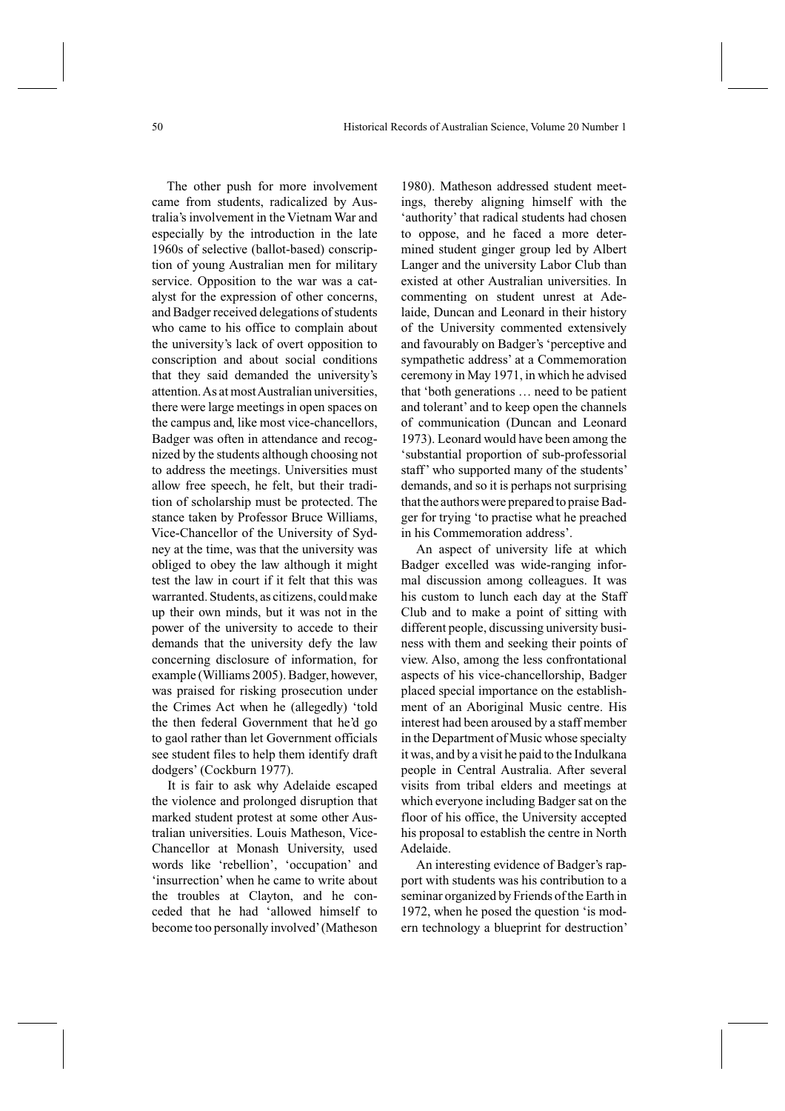The other push for more involvement came from students, radicalized by Australia's involvement in the Vietnam War and especially by the introduction in the late 1960s of selective (ballot-based) conscription of young Australian men for military service. Opposition to the war was a catalyst for the expression of other concerns, and Badger received delegations of students who came to his office to complain about the university's lack of overt opposition to conscription and about social conditions that they said demanded the university's attention. As at most Australian universities, there were large meetings in open spaces on the campus and, like most vice-chancellors, Badger was often in attendance and recognized by the students although choosing not to address the meetings. Universities must allow free speech, he felt, but their tradition of scholarship must be protected. The stance taken by Professor Bruce Williams, Vice-Chancellor of the University of Sydney at the time, was that the university was obliged to obey the law although it might test the law in court if it felt that this was warranted. Students, as citizens, could make up their own minds, but it was not in the power of the university to accede to their demands that the university defy the law concerning disclosure of information, for example (Williams 2005). Badger, however, was praised for risking prosecution under the Crimes Act when he (allegedly) 'told the then federal Government that he'd go to gaol rather than let Government officials see student files to help them identify draft dodgers' (Cockburn 1977).

It is fair to ask why Adelaide escaped the violence and prolonged disruption that marked student protest at some other Australian universities. Louis Matheson, Vice-Chancellor at Monash University, used words like 'rebellion', 'occupation' and 'insurrection' when he came to write about the troubles at Clayton, and he conceded that he had 'allowed himself to become too personally involved'(Matheson 1980). Matheson addressed student meetings, thereby aligning himself with the 'authority' that radical students had chosen to oppose, and he faced a more determined student ginger group led by Albert Langer and the university Labor Club than existed at other Australian universities. In commenting on student unrest at Adelaide, Duncan and Leonard in their history of the University commented extensively and favourably on Badger's 'perceptive and sympathetic address' at a Commemoration ceremony in May 1971, in which he advised that 'both generations … need to be patient and tolerant' and to keep open the channels of communication (Duncan and Leonard 1973). Leonard would have been among the 'substantial proportion of sub-professorial staff' who supported many of the students' demands, and so it is perhaps not surprising that the authors were prepared to praise Badger for trying 'to practise what he preached in his Commemoration address'.

An aspect of university life at which Badger excelled was wide-ranging informal discussion among colleagues. It was his custom to lunch each day at the Staff Club and to make a point of sitting with different people, discussing university business with them and seeking their points of view. Also, among the less confrontational aspects of his vice-chancellorship, Badger placed special importance on the establishment of an Aboriginal Music centre. His interest had been aroused by a staff member in the Department of Music whose specialty it was, and by a visit he paid to the Indulkana people in Central Australia. After several visits from tribal elders and meetings at which everyone including Badger sat on the floor of his office, the University accepted his proposal to establish the centre in North Adelaide.

An interesting evidence of Badger's rapport with students was his contribution to a seminar organized by Friends of the Earth in 1972, when he posed the question 'is modern technology a blueprint for destruction'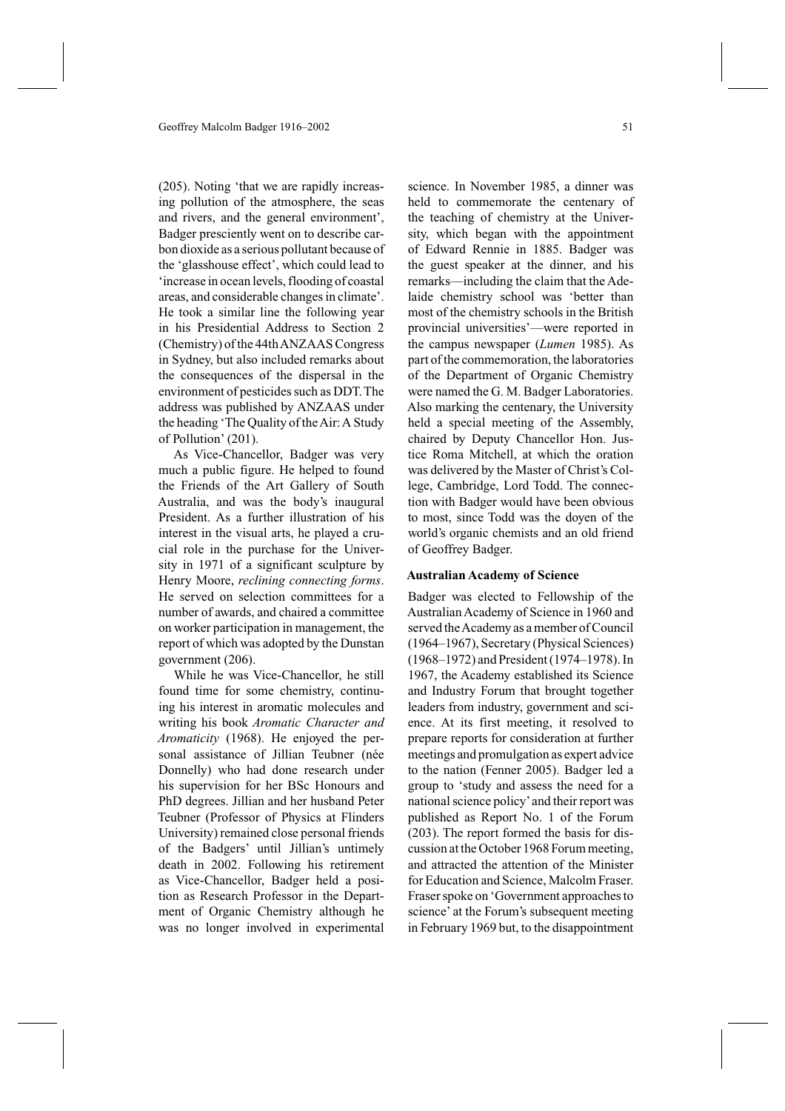(205). Noting 'that we are rapidly increasing pollution of the atmosphere, the seas and rivers, and the general environment', Badger presciently went on to describe carbon dioxide as a serious pollutant because of the 'glasshouse effect', which could lead to 'increase in ocean levels, flooding of coastal areas, and considerable changes in climate'. He took a similar line the following year in his Presidential Address to Section 2 (Chemistry) of the 44thANZAAS Congress in Sydney, but also included remarks about the consequences of the dispersal in the environment of pesticides such as DDT.The address was published by ANZAAS under the heading 'The Quality of theAir:A Study of Pollution' (201).

As Vice-Chancellor, Badger was very much a public figure. He helped to found the Friends of the Art Gallery of South Australia, and was the body's inaugural President. As a further illustration of his interest in the visual arts, he played a crucial role in the purchase for the University in 1971 of a significant sculpture by Henry Moore, *reclining connecting forms*. He served on selection committees for a number of awards, and chaired a committee on worker participation in management, the report of which was adopted by the Dunstan government (206).

While he was Vice-Chancellor, he still found time for some chemistry, continuing his interest in aromatic molecules and writing his book *Aromatic Character and Aromaticity* (1968). He enjoyed the personal assistance of Jillian Teubner (née Donnelly) who had done research under his supervision for her BSc Honours and PhD degrees. Jillian and her husband Peter Teubner (Professor of Physics at Flinders University) remained close personal friends of the Badgers' until Jillian's untimely death in 2002. Following his retirement as Vice-Chancellor, Badger held a position as Research Professor in the Department of Organic Chemistry although he was no longer involved in experimental

science. In November 1985, a dinner was held to commemorate the centenary of the teaching of chemistry at the University, which began with the appointment of Edward Rennie in 1885. Badger was the guest speaker at the dinner, and his remarks—including the claim that the Adelaide chemistry school was 'better than most of the chemistry schools in the British provincial universities'—were reported in the campus newspaper (*Lumen* 1985). As part of the commemoration, the laboratories of the Department of Organic Chemistry were named the G. M. Badger Laboratories. Also marking the centenary, the University held a special meeting of the Assembly, chaired by Deputy Chancellor Hon. Justice Roma Mitchell, at which the oration was delivered by the Master of Christ's College, Cambridge, Lord Todd. The connection with Badger would have been obvious to most, since Todd was the doyen of the world's organic chemists and an old friend of Geoffrey Badger.

### **Australian Academy of Science**

Badger was elected to Fellowship of the Australian Academy of Science in 1960 and served the Academy as a member of Council (1964–1967), Secretary (Physical Sciences) (1968–1972) and President (1974–1978). In 1967, the Academy established its Science and Industry Forum that brought together leaders from industry, government and science. At its first meeting, it resolved to prepare reports for consideration at further meetings and promulgation as expert advice to the nation (Fenner 2005). Badger led a group to 'study and assess the need for a national science policy'and their report was published as Report No. 1 of the Forum (203). The report formed the basis for discussion at the October 1968 Forum meeting, and attracted the attention of the Minister for Education and Science, Malcolm Fraser. Fraser spoke on 'Government approaches to science' at the Forum's subsequent meeting in February 1969 but, to the disappointment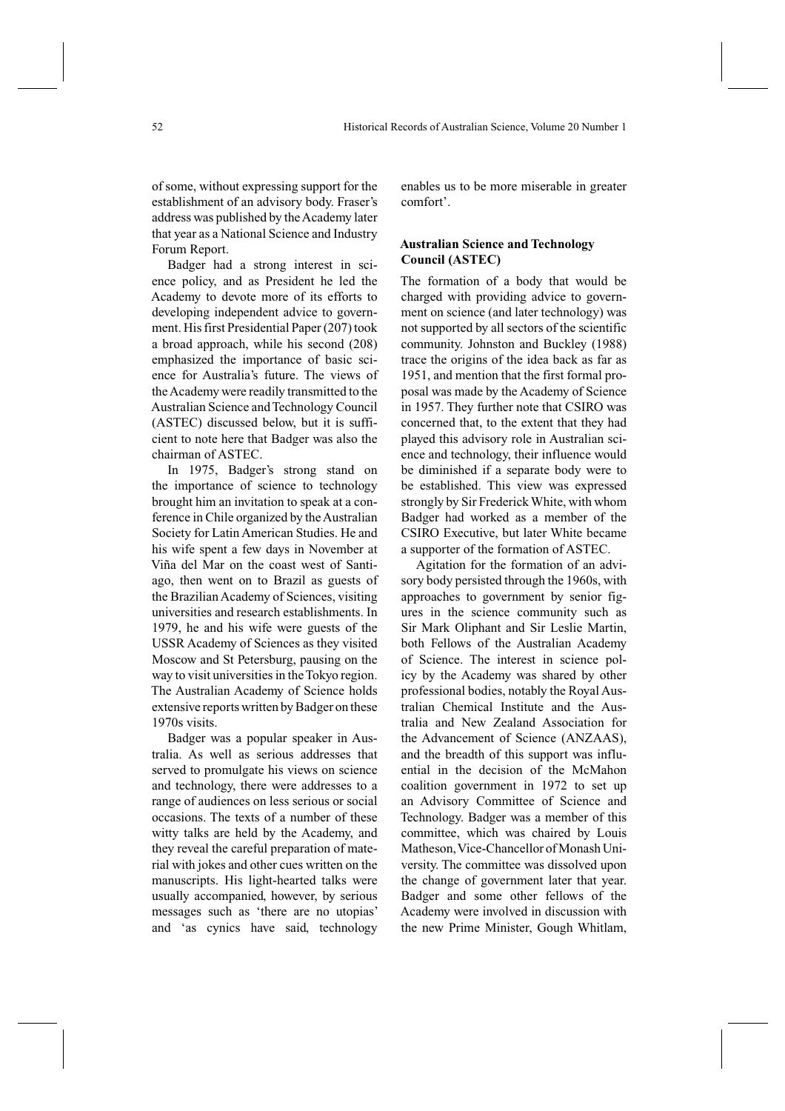of some, without expressing support for the establishment of an advisory body. Fraser's address was published by the Academy later that year as a National Science and Industry Forum Report.

Badger had a strong interest in science policy, and as President he led the Academy to devote more of its efforts to developing independent advice to government. His first Presidential Paper (207) took a broad approach, while his second (208) emphasized the importance of basic science for Australia's future. The views of the Academy were readily transmitted to the Australian Science and Technology Council (ASTEC) discussed below, but it is sufficient to note here that Badger was also the chairman of ASTEC.

In 1975, Badger's strong stand on the importance of science to technology brought him an invitation to speak at a conference in Chile organized by the Australian Society for Latin American Studies. He and his wife spent a few days in November at Viña del Mar on the coast west of Santiago, then went on to Brazil as guests of the Brazilian Academy of Sciences, visiting universities and research establishments. In 1979, he and his wife were guests of the USSR Academy of Sciences as they visited Moscow and St Petersburg, pausing on the way to visit universities in the Tokyo region. The Australian Academy of Science holds extensive reports written by Badger on these 1970s visits.

Badger was a popular speaker in Australia. As well as serious addresses that served to promulgate his views on science and technology, there were addresses to a range of audiences on less serious or social occasions. The texts of a number of these witty talks are held by the Academy, and they reveal the careful preparation of material with jokes and other cues written on the manuscripts. His light-hearted talks were usually accompanied, however, by serious messages such as 'there are no utopias' and 'as cynics have said, technology enables us to be more miserable in greater comfort'.

# **Australian Science and Technology Council (ASTEC)**

The formation of a body that would be charged with providing advice to government on science (and later technology) was not supported by all sectors of the scientific community. Johnston and Buckley (1988) trace the origins of the idea back as far as 1951, and mention that the first formal proposal was made by the Academy of Science in 1957. They further note that CSIRO was concerned that, to the extent that they had played this advisory role in Australian science and technology, their influence would be diminished if a separate body were to be established. This view was expressed strongly by Sir Frederick White, with whom Badger had worked as a member of the CSIRO Executive, but later White became a supporter of the formation of ASTEC.

Agitation for the formation of an advisory body persisted through the 1960s, with approaches to government by senior figures in the science community such as Sir Mark Oliphant and Sir Leslie Martin, both Fellows of the Australian Academy of Science. The interest in science policy by the Academy was shared by other professional bodies, notably the Royal Australian Chemical Institute and the Australia and New Zealand Association for the Advancement of Science (ANZAAS), and the breadth of this support was influential in the decision of the McMahon coalition government in 1972 to set up an Advisory Committee of Science and Technology. Badger was a member of this committee, which was chaired by Louis Matheson,Vice-Chancellor of Monash University. The committee was dissolved upon the change of government later that year. Badger and some other fellows of the Academy were involved in discussion with the new Prime Minister, Gough Whitlam,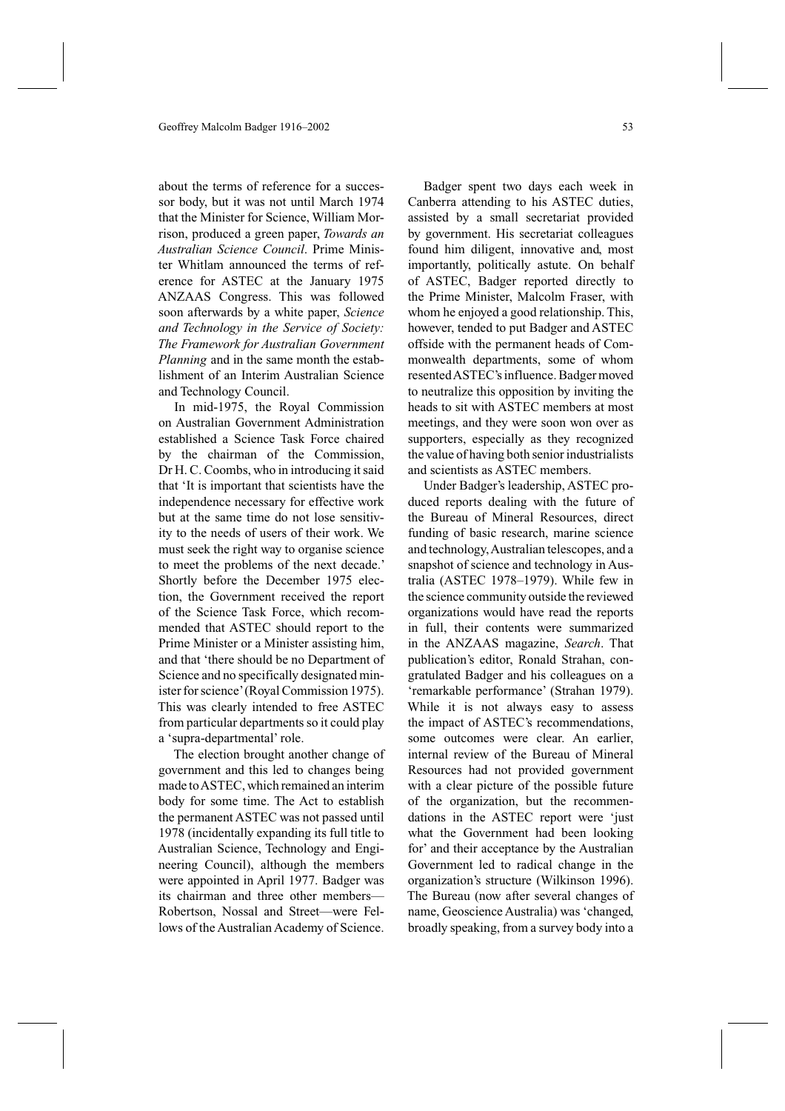about the terms of reference for a successor body, but it was not until March 1974 that the Minister for Science, William Morrison, produced a green paper, *Towards an Australian Science Council*. Prime Minister Whitlam announced the terms of reference for ASTEC at the January 1975 ANZAAS Congress. This was followed soon afterwards by a white paper, *Science and Technology in the Service of Society: The Framework for Australian Government Planning* and in the same month the establishment of an Interim Australian Science and Technology Council.

In mid-1975, the Royal Commission on Australian Government Administration established a Science Task Force chaired by the chairman of the Commission, Dr H. C. Coombs, who in introducing it said that 'It is important that scientists have the independence necessary for effective work but at the same time do not lose sensitivity to the needs of users of their work. We must seek the right way to organise science to meet the problems of the next decade.' Shortly before the December 1975 election, the Government received the report of the Science Task Force, which recommended that ASTEC should report to the Prime Minister or a Minister assisting him, and that 'there should be no Department of Science and no specifically designated minister for science'(Royal Commission 1975). This was clearly intended to free ASTEC from particular departments so it could play a 'supra-departmental' role.

The election brought another change of government and this led to changes being made toASTEC, which remained an interim body for some time. The Act to establish the permanent ASTEC was not passed until 1978 (incidentally expanding its full title to Australian Science, Technology and Engineering Council), although the members were appointed in April 1977. Badger was its chairman and three other members— Robertson, Nossal and Street—were Fellows of the Australian Academy of Science.

Badger spent two days each week in Canberra attending to his ASTEC duties, assisted by a small secretariat provided by government. His secretariat colleagues found him diligent, innovative and, most importantly, politically astute. On behalf of ASTEC, Badger reported directly to the Prime Minister, Malcolm Fraser, with whom he enjoyed a good relationship. This, however, tended to put Badger and ASTEC offside with the permanent heads of Commonwealth departments, some of whom resentedASTEC's influence. Badger moved to neutralize this opposition by inviting the heads to sit with ASTEC members at most meetings, and they were soon won over as supporters, especially as they recognized the value of having both senior industrialists and scientists as ASTEC members.

Under Badger's leadership, ASTEC produced reports dealing with the future of the Bureau of Mineral Resources, direct funding of basic research, marine science and technology,Australian telescopes, and a snapshot of science and technology in Australia (ASTEC 1978–1979). While few in the science community outside the reviewed organizations would have read the reports in full, their contents were summarized in the ANZAAS magazine, *Search*. That publication's editor, Ronald Strahan, congratulated Badger and his colleagues on a 'remarkable performance' (Strahan 1979). While it is not always easy to assess the impact of ASTEC's recommendations, some outcomes were clear. An earlier, internal review of the Bureau of Mineral Resources had not provided government with a clear picture of the possible future of the organization, but the recommendations in the ASTEC report were 'just what the Government had been looking for' and their acceptance by the Australian Government led to radical change in the organization's structure (Wilkinson 1996). The Bureau (now after several changes of name, Geoscience Australia) was 'changed, broadly speaking, from a survey body into a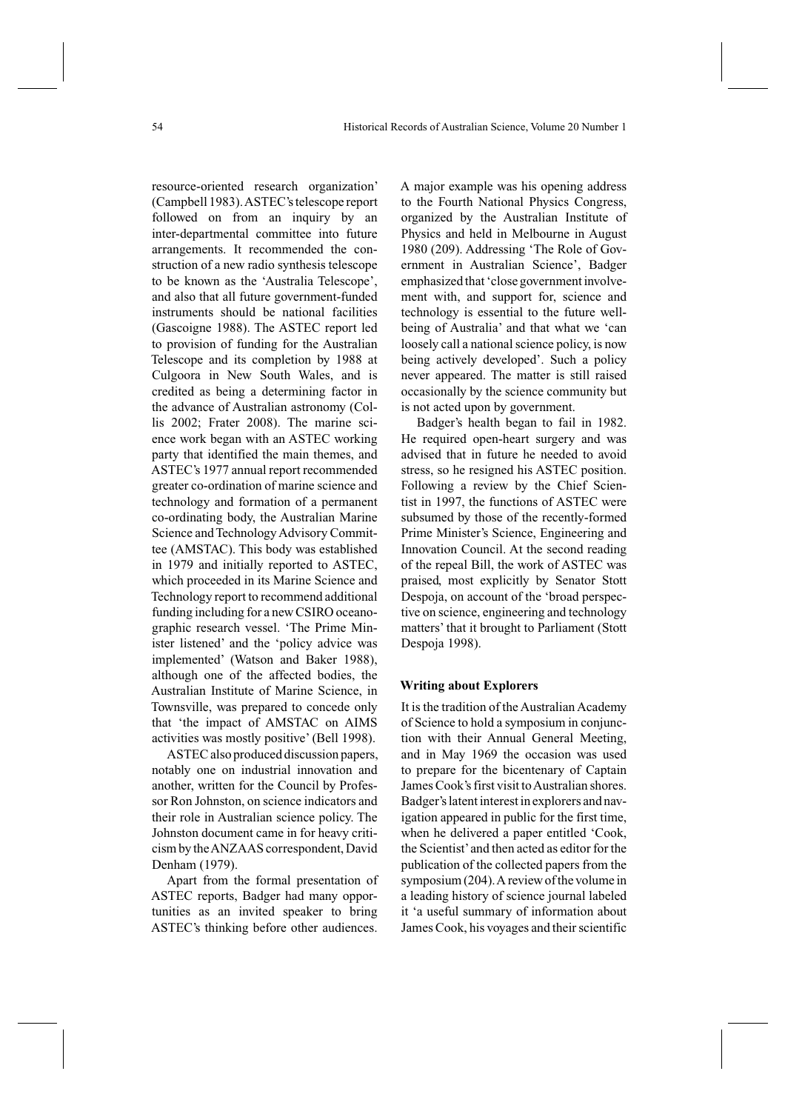resource-oriented research organization' (Campbell 1983).ASTEC's telescope report followed on from an inquiry by an inter-departmental committee into future arrangements. It recommended the construction of a new radio synthesis telescope to be known as the 'Australia Telescope', and also that all future government-funded instruments should be national facilities (Gascoigne 1988). The ASTEC report led to provision of funding for the Australian Telescope and its completion by 1988 at Culgoora in New South Wales, and is credited as being a determining factor in the advance of Australian astronomy (Collis 2002; Frater 2008). The marine science work began with an ASTEC working party that identified the main themes, and ASTEC's 1977 annual report recommended greater co-ordination of marine science and technology and formation of a permanent co-ordinating body, the Australian Marine Science and Technology Advisory Committee (AMSTAC). This body was established in 1979 and initially reported to ASTEC, which proceeded in its Marine Science and Technology report to recommend additional funding including for a new CSIRO oceanographic research vessel. 'The Prime Minister listened' and the 'policy advice was implemented' (Watson and Baker 1988), although one of the affected bodies, the Australian Institute of Marine Science, in Townsville, was prepared to concede only that 'the impact of AMSTAC on AIMS activities was mostly positive' (Bell 1998).

ASTEC also produced discussion papers, notably one on industrial innovation and another, written for the Council by Professor Ron Johnston, on science indicators and their role in Australian science policy. The Johnston document came in for heavy criticism by theANZAAS correspondent, David Denham (1979).

Apart from the formal presentation of ASTEC reports, Badger had many opportunities as an invited speaker to bring ASTEC's thinking before other audiences.

A major example was his opening address to the Fourth National Physics Congress, organized by the Australian Institute of Physics and held in Melbourne in August 1980 (209). Addressing 'The Role of Government in Australian Science', Badger emphasized that 'close government involvement with, and support for, science and technology is essential to the future wellbeing of Australia' and that what we 'can loosely call a national science policy, is now being actively developed'. Such a policy never appeared. The matter is still raised occasionally by the science community but is not acted upon by government.

Badger's health began to fail in 1982. He required open-heart surgery and was advised that in future he needed to avoid stress, so he resigned his ASTEC position. Following a review by the Chief Scientist in 1997, the functions of ASTEC were subsumed by those of the recently-formed Prime Minister's Science, Engineering and Innovation Council. At the second reading of the repeal Bill, the work of ASTEC was praised, most explicitly by Senator Stott Despoja, on account of the 'broad perspective on science, engineering and technology matters' that it brought to Parliament (Stott Despoja 1998).

### **Writing about Explorers**

It is the tradition of the Australian Academy of Science to hold a symposium in conjunction with their Annual General Meeting, and in May 1969 the occasion was used to prepare for the bicentenary of Captain James Cook's first visit to Australian shores. Badger's latent interest in explorers and navigation appeared in public for the first time, when he delivered a paper entitled 'Cook, the Scientist'and then acted as editor for the publication of the collected papers from the symposium (204). A review of the volume in a leading history of science journal labeled it 'a useful summary of information about James Cook, his voyages and their scientific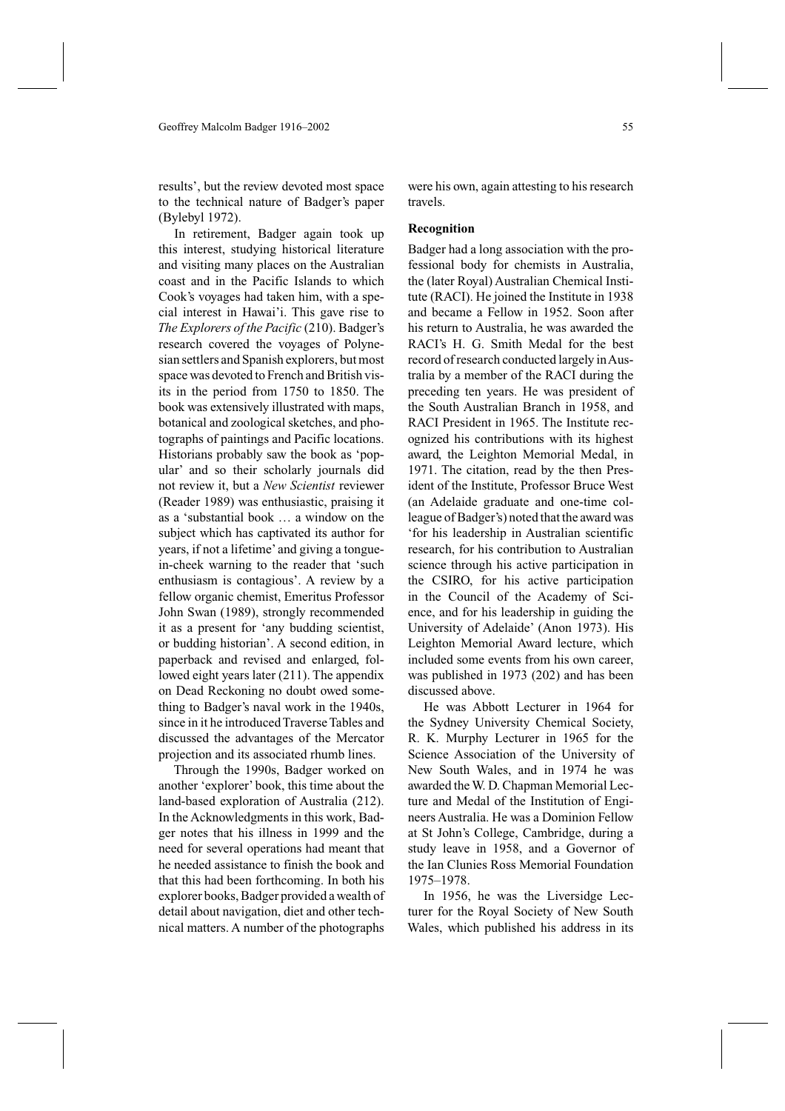results', but the review devoted most space to the technical nature of Badger's paper (Bylebyl 1972).

In retirement, Badger again took up this interest, studying historical literature and visiting many places on the Australian coast and in the Pacific Islands to which Cook's voyages had taken him, with a special interest in Hawai'i. This gave rise to *The Explorers of the Pacific* (210). Badger's research covered the voyages of Polynesian settlers and Spanish explorers, but most space was devoted to French and British visits in the period from 1750 to 1850. The book was extensively illustrated with maps, botanical and zoological sketches, and photographs of paintings and Pacific locations. Historians probably saw the book as 'popular' and so their scholarly journals did not review it, but a *New Scientist* reviewer (Reader 1989) was enthusiastic, praising it as a 'substantial book … a window on the subject which has captivated its author for years, if not a lifetime' and giving a tonguein-cheek warning to the reader that 'such enthusiasm is contagious'. A review by a fellow organic chemist, Emeritus Professor John Swan (1989), strongly recommended it as a present for 'any budding scientist, or budding historian'. A second edition, in paperback and revised and enlarged, followed eight years later (211). The appendix on Dead Reckoning no doubt owed something to Badger's naval work in the 1940s, since in it he introduced Traverse Tables and discussed the advantages of the Mercator projection and its associated rhumb lines.

Through the 1990s, Badger worked on another 'explorer' book, this time about the land-based exploration of Australia (212). In the Acknowledgments in this work, Badger notes that his illness in 1999 and the need for several operations had meant that he needed assistance to finish the book and that this had been forthcoming. In both his explorer books, Badger provided a wealth of detail about navigation, diet and other technical matters. A number of the photographs were his own, again attesting to his research travels.

# **Recognition**

Badger had a long association with the professional body for chemists in Australia, the (later Royal) Australian Chemical Institute (RACI). He joined the Institute in 1938 and became a Fellow in 1952. Soon after his return to Australia, he was awarded the RACI's H. G. Smith Medal for the best record of research conducted largely inAustralia by a member of the RACI during the preceding ten years. He was president of the South Australian Branch in 1958, and RACI President in 1965. The Institute recognized his contributions with its highest award, the Leighton Memorial Medal, in 1971. The citation, read by the then President of the Institute, Professor Bruce West (an Adelaide graduate and one-time colleague of Badger's) noted that the award was 'for his leadership in Australian scientific research, for his contribution to Australian science through his active participation in the CSIRO, for his active participation in the Council of the Academy of Science, and for his leadership in guiding the University of Adelaide' (Anon 1973). His Leighton Memorial Award lecture, which included some events from his own career, was published in 1973 (202) and has been discussed above.

He was Abbott Lecturer in 1964 for the Sydney University Chemical Society, R. K. Murphy Lecturer in 1965 for the Science Association of the University of New South Wales, and in 1974 he was awarded the W. D. Chapman Memorial Lecture and Medal of the Institution of Engineers Australia. He was a Dominion Fellow at St John's College, Cambridge, during a study leave in 1958, and a Governor of the Ian Clunies Ross Memorial Foundation 1975–1978.

In 1956, he was the Liversidge Lecturer for the Royal Society of New South Wales, which published his address in its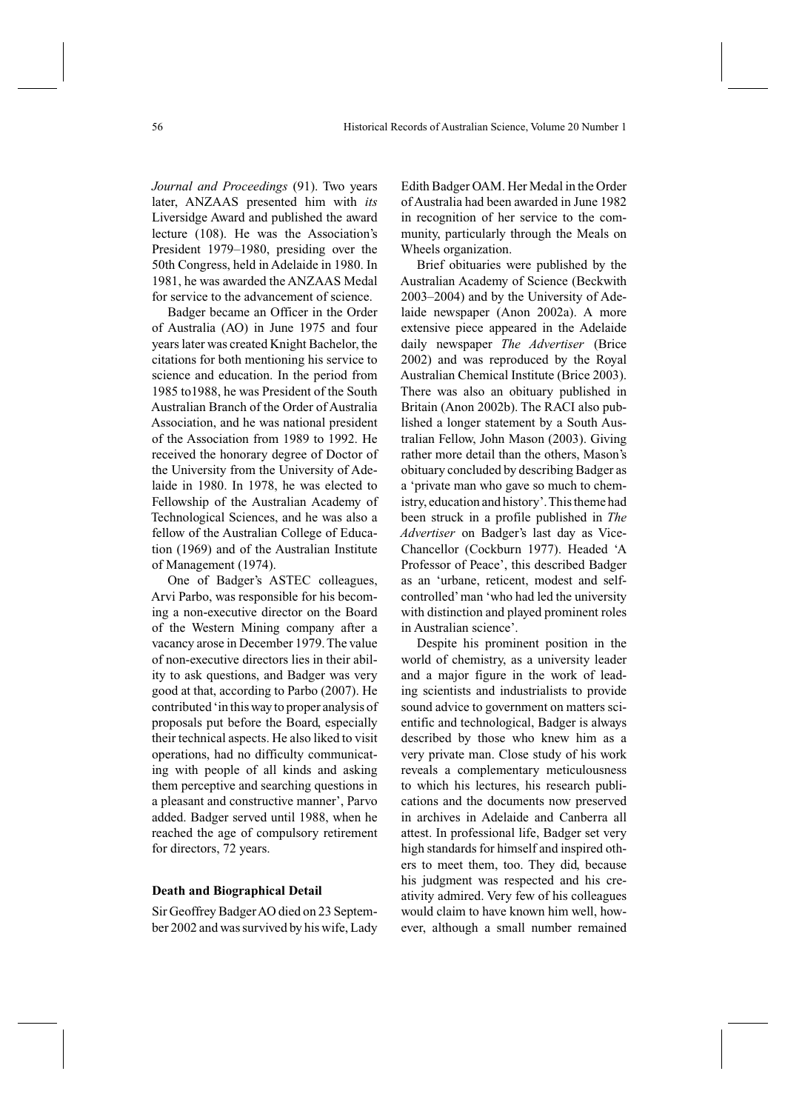*Journal and Proceedings* (91). Two years later, ANZAAS presented him with *its* Liversidge Award and published the award lecture (108). He was the Association's President 1979–1980, presiding over the 50th Congress, held in Adelaide in 1980. In 1981, he was awarded the ANZAAS Medal for service to the advancement of science.

Badger became an Officer in the Order of Australia (AO) in June 1975 and four years later was created Knight Bachelor, the citations for both mentioning his service to science and education. In the period from 1985 to1988, he was President of the South Australian Branch of the Order of Australia Association, and he was national president of the Association from 1989 to 1992. He received the honorary degree of Doctor of the University from the University of Adelaide in 1980. In 1978, he was elected to Fellowship of the Australian Academy of Technological Sciences, and he was also a fellow of the Australian College of Education (1969) and of the Australian Institute of Management (1974).

One of Badger's ASTEC colleagues, Arvi Parbo, was responsible for his becoming a non-executive director on the Board of the Western Mining company after a vacancy arose in December 1979.The value of non-executive directors lies in their ability to ask questions, and Badger was very good at that, according to Parbo (2007). He contributed 'in this way to proper analysis of proposals put before the Board, especially their technical aspects. He also liked to visit operations, had no difficulty communicating with people of all kinds and asking them perceptive and searching questions in a pleasant and constructive manner', Parvo added. Badger served until 1988, when he reached the age of compulsory retirement for directors, 72 years.

# **Death and Biographical Detail**

Sir Geoffrey BadgerAO died on 23 September 2002 and was survived by his wife, Lady Edith Badger OAM. Her Medal in the Order of Australia had been awarded in June 1982 in recognition of her service to the community, particularly through the Meals on Wheels organization.

Brief obituaries were published by the Australian Academy of Science (Beckwith 2003–2004) and by the University of Adelaide newspaper (Anon 2002a). A more extensive piece appeared in the Adelaide daily newspaper *The Advertiser* (Brice 2002) and was reproduced by the Royal Australian Chemical Institute (Brice 2003). There was also an obituary published in Britain (Anon 2002b). The RACI also published a longer statement by a South Australian Fellow, John Mason (2003). Giving rather more detail than the others, Mason's obituary concluded by describing Badger as a 'private man who gave so much to chemistry, education and history'.This theme had been struck in a profile published in *The Advertiser* on Badger's last day as Vice-Chancellor (Cockburn 1977). Headed 'A Professor of Peace', this described Badger as an 'urbane, reticent, modest and selfcontrolled' man 'who had led the university with distinction and played prominent roles in Australian science'.

Despite his prominent position in the world of chemistry, as a university leader and a major figure in the work of leading scientists and industrialists to provide sound advice to government on matters scientific and technological, Badger is always described by those who knew him as a very private man. Close study of his work reveals a complementary meticulousness to which his lectures, his research publications and the documents now preserved in archives in Adelaide and Canberra all attest. In professional life, Badger set very high standards for himself and inspired others to meet them, too. They did, because his judgment was respected and his creativity admired. Very few of his colleagues would claim to have known him well, however, although a small number remained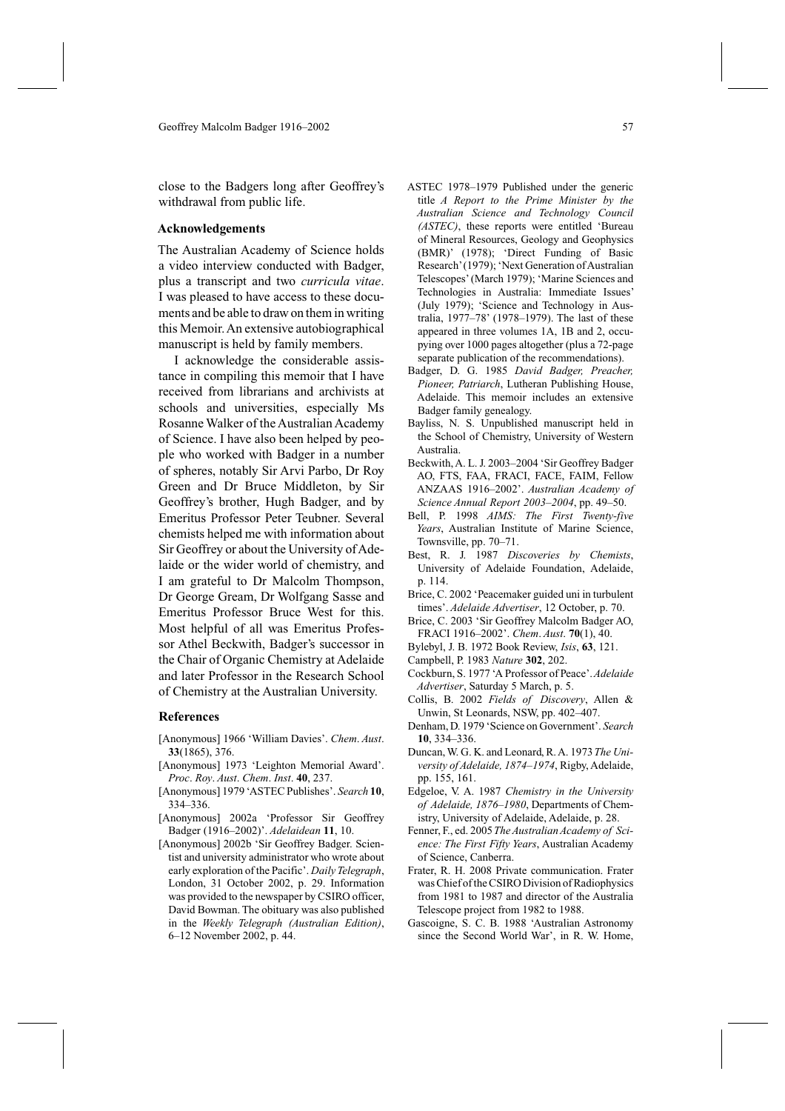close to the Badgers long after Geoffrey's withdrawal from public life.

# **Acknowledgements**

The Australian Academy of Science holds a video interview conducted with Badger, plus a transcript and two *curricula vitae*. I was pleased to have access to these documents and be able to draw on them in writing this Memoir.An extensive autobiographical manuscript is held by family members.

I acknowledge the considerable assistance in compiling this memoir that I have received from librarians and archivists at schools and universities, especially Ms Rosanne Walker of the Australian Academy of Science. I have also been helped by people who worked with Badger in a number of spheres, notably Sir Arvi Parbo, Dr Roy Green and Dr Bruce Middleton, by Sir Geoffrey's brother, Hugh Badger, and by Emeritus Professor Peter Teubner. Several chemists helped me with information about Sir Geoffrey or about the University of Adelaide or the wider world of chemistry, and I am grateful to Dr Malcolm Thompson, Dr George Gream, Dr Wolfgang Sasse and Emeritus Professor Bruce West for this. Most helpful of all was Emeritus Professor Athel Beckwith, Badger's successor in the Chair of Organic Chemistry at Adelaide and later Professor in the Research School of Chemistry at the Australian University.

### **References**

- [Anonymous] 1966 'William Davies'. *Chem*. *Aust*. **33**(1865), 376.
- [Anonymous] 1973 'Leighton Memorial Award'. *Proc*. *Roy*. *Aust*. *Chem*. *Inst*. **40**, 237.
- [Anonymous] 1979 'ASTEC Publishes'. *Search* **10**, 334–336.
- [Anonymous] 2002a 'Professor Sir Geoffrey Badger (1916–2002)'. *Adelaidean* **11**, 10.
- [Anonymous] 2002b 'Sir Geoffrey Badger. Scientist and university administrator who wrote about early exploration of the Pacific'. *Daily Telegraph*, London, 31 October 2002, p. 29. Information was provided to the newspaper by CSIRO officer, David Bowman. The obituary was also published in the *Weekly Telegraph (Australian Edition)*, 6–12 November 2002, p. 44.
- ASTEC 1978–1979 Published under the generic title *A Report to the Prime Minister by the Australian Science and Technology Council (ASTEC)*, these reports were entitled 'Bureau of Mineral Resources, Geology and Geophysics (BMR)' (1978); 'Direct Funding of Basic Research' (1979); 'Next Generation of Australian Telescopes' (March 1979); 'Marine Sciences and Technologies in Australia: Immediate Issues' (July 1979); 'Science and Technology in Australia, 1977–78' (1978–1979). The last of these appeared in three volumes 1A, 1B and 2, occupying over 1000 pages altogether (plus a 72-page separate publication of the recommendations).
- Badger, D. G. 1985 *David Badger, Preacher, Pioneer, Patriarch*, Lutheran Publishing House, Adelaide. This memoir includes an extensive Badger family genealogy.
- Bayliss, N. S. Unpublished manuscript held in the School of Chemistry, University of Western Australia.
- Beckwith, A. L. J. 2003–2004 'Sir Geoffrey Badger AO, FTS, FAA, FRACI, FACE, FAIM, Fellow ANZAAS 1916–2002'. *Australian Academy of Science Annual Report 2003–2004*, pp. 49–50.
- Bell, P. 1998 *AIMS: The First Twenty-five Years*, Australian Institute of Marine Science, Townsville, pp. 70–71.
- Best, R. J. 1987 *Discoveries by Chemists*, University of Adelaide Foundation, Adelaide, p. 114.
- Brice, C. 2002 'Peacemaker guided uni in turbulent times'. *Adelaide Advertiser*, 12 October, p. 70.
- Brice, C. 2003 'Sir Geoffrey Malcolm Badger AO, FRACI 1916–2002'. *Chem*. *Aust*. **70**(1), 40.
- Bylebyl, J. B. 1972 Book Review, *Isis*, **63**, 121.
- Campbell, P. 1983 *Nature* **302**, 202.
- Cockburn, S. 1977 'A Professor of Peace'.*Adelaide Advertiser*, Saturday 5 March, p. 5.
- Collis, B. 2002 *Fields of Discovery*, Allen & Unwin, St Leonards, NSW, pp. 402–407.
- Denham, D. 1979 'Science on Government'. *Search* **10**, 334–336.
- Duncan, W. G. K. and Leonard, R. A. 1973*The University of Adelaide, 1874–1974*, Rigby, Adelaide, pp. 155, 161.
- Edgeloe, V. A. 1987 *Chemistry in the University of Adelaide, 1876–1980*, Departments of Chemistry, University of Adelaide, Adelaide, p. 28.
- Fenner, F., ed. 2005 The Australian Academy of Sci*ence: The First Fifty Years*, Australian Academy of Science, Canberra.
- Frater, R. H. 2008 Private communication. Frater was Chief of the CSIRO Division of Radiophysics from 1981 to 1987 and director of the Australia Telescope project from 1982 to 1988.
- Gascoigne, S. C. B. 1988 'Australian Astronomy since the Second World War', in R. W. Home,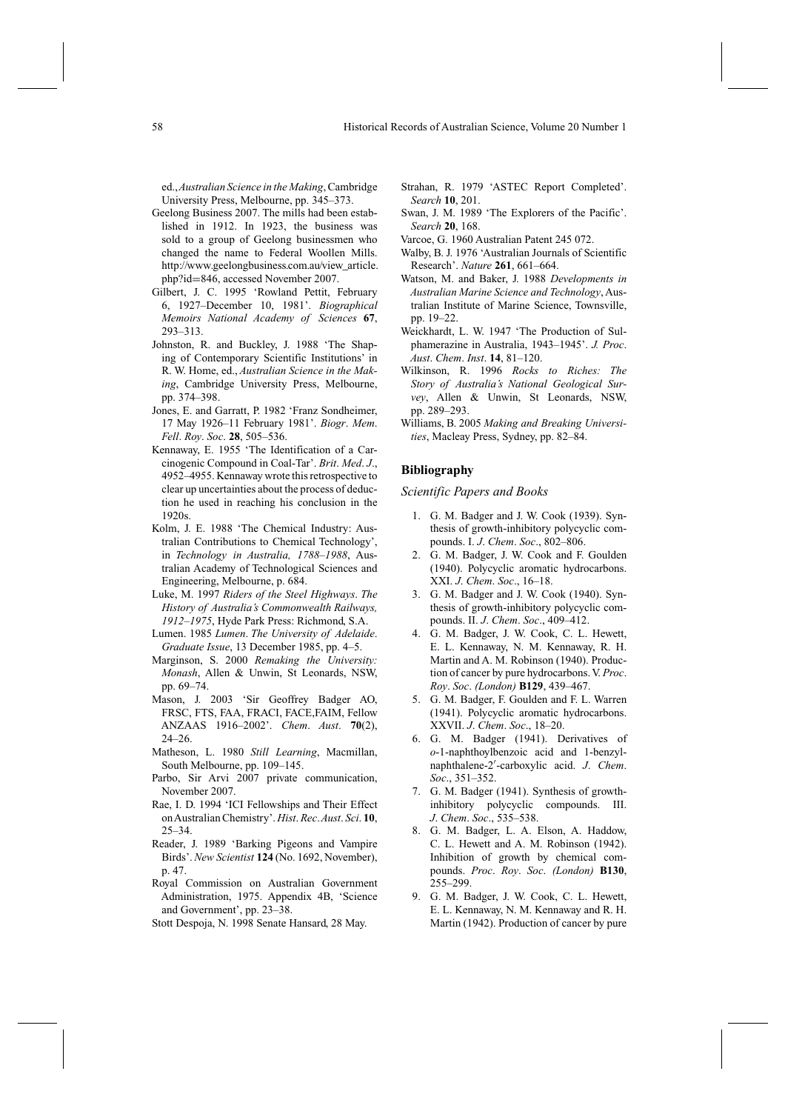ed.,*Australian Science in the Making*, Cambridge University Press, Melbourne, pp. 345–373.

- Geelong Business 2007. The mills had been established in 1912. In 1923, the business was sold to a group of Geelong businessmen who changed the name to Federal Woollen Mills. http://www.geelongbusiness.com.au/view\_article. php?id=846, accessed November 2007.
- Gilbert, J. C. 1995 'Rowland Pettit, February 6, 1927–December 10, 1981'. *Biographical Memoirs National Academy of Sciences* **67**, 293–313.
- Johnston, R. and Buckley, J. 1988 'The Shaping of Contemporary Scientific Institutions' in R. W. Home, ed., *Australian Science in the Making*, Cambridge University Press, Melbourne, pp. 374–398.
- Jones, E. and Garratt, P. 1982 'Franz Sondheimer, 17 May 1926–11 February 1981'. *Biogr*. *Mem*. *Fell*. *Roy*. *Soc*. **28**, 505–536.
- Kennaway, E. 1955 'The Identification of a Carcinogenic Compound in Coal-Tar'. *Brit*. *Med*. *J*., 4952–4955. Kennaway wrote this retrospective to clear up uncertainties about the process of deduction he used in reaching his conclusion in the 1920s.
- Kolm, J. E. 1988 'The Chemical Industry: Australian Contributions to Chemical Technology', in *Technology in Australia, 1788–1988*, Australian Academy of Technological Sciences and Engineering, Melbourne, p. 684.
- Luke, M. 1997 *Riders of the Steel Highways*. *The History of Australia's Commonwealth Railways, 1912–1975*, Hyde Park Press: Richmond, S.A.
- Lumen. 1985 *Lumen*. *The University of Adelaide*. *Graduate Issue*, 13 December 1985, pp. 4–5.
- Marginson, S. 2000 *Remaking the University: Monash*, Allen & Unwin, St Leonards, NSW, pp. 69–74.
- Mason, J. 2003 'Sir Geoffrey Badger AO, FRSC, FTS, FAA, FRACI, FACE,FAIM, Fellow ANZAAS 1916–2002'. *Chem*. *Aust*. **70**(2), 24–26.
- Matheson, L. 1980 *Still Learning*, Macmillan, South Melbourne, pp. 109–145.
- Parbo, Sir Arvi 2007 private communication, November 2007.
- Rae, I. D. 1994 'ICI Fellowships and Their Effect onAustralian Chemistry'. *Hist*. *Rec*.*Aust*. *Sci*. **10**, 25–34.
- Reader, J. 1989 'Barking Pigeons and Vampire Birds'. *New Scientist* **124** (No. 1692, November), p. 47.
- Royal Commission on Australian Government Administration, 1975. Appendix 4B, 'Science and Government', pp. 23–38.
- Stott Despoja, N. 1998 Senate Hansard, 28 May.
- Strahan, R. 1979 'ASTEC Report Completed'. *Search* **10**, 201.
- Swan, J. M. 1989 'The Explorers of the Pacific'. *Search* **20**, 168.
- Varcoe, G. 1960 Australian Patent 245 072.
- Walby, B. J. 1976 'Australian Journals of Scientific Research'. *Nature* **261**, 661–664.
- Watson, M. and Baker, J. 1988 *Developments in Australian Marine Science and Technology*, Australian Institute of Marine Science, Townsville, pp. 19–22.
- Weickhardt, L. W. 1947 'The Production of Sulphamerazine in Australia, 1943–1945'. *J. Proc*. *Aust*. *Chem*. *Inst*. **14**, 81–120.
- Wilkinson, R. 1996 *Rocks to Riches: The Story of Australia's National Geological Survey*, Allen & Unwin, St Leonards, NSW, pp. 289–293.
- Williams, B. 2005 *Making and Breaking Universities*, Macleay Press, Sydney, pp. 82–84.

### **Bibliography**

### *Scientific Papers and Books*

- 1. G. M. Badger and J. W. Cook (1939). Synthesis of growth-inhibitory polycyclic compounds. I. *J*. *Chem*. *Soc*., 802–806.
- 2. G. M. Badger, J. W. Cook and F. Goulden (1940). Polycyclic aromatic hydrocarbons. XXI. *J*. *Chem*. *Soc*., 16–18.
- 3. G. M. Badger and J. W. Cook (1940). Synthesis of growth-inhibitory polycyclic compounds. II. *J*. *Chem*. *Soc*., 409–412.
- 4. G. M. Badger, J. W. Cook, C. L. Hewett, E. L. Kennaway, N. M. Kennaway, R. H. Martin and A. M. Robinson (1940). Production of cancer by pure hydrocarbons. V. *Proc*. *Roy*. *Soc*. *(London)* **B129**, 439–467.
- 5. G. M. Badger, F. Goulden and F. L. Warren (1941). Polycyclic aromatic hydrocarbons. XXVII. *J*. *Chem*. *Soc*., 18–20.
- 6. G. M. Badger (1941). Derivatives of *o*-1-naphthoylbenzoic acid and 1-benzylnaphthalene-2 -carboxylic acid. *J*. *Chem*. *Soc*., 351–352.
- 7. G. M. Badger (1941). Synthesis of growthinhibitory polycyclic compounds. III. *J*. *Chem*. *Soc*., 535–538.
- 8. G. M. Badger, L. A. Elson, A. Haddow, C. L. Hewett and A. M. Robinson (1942). Inhibition of growth by chemical compounds. *Proc*. *Roy*. *Soc*. *(London)* **B130**, 255–299.
- 9. G. M. Badger, J. W. Cook, C. L. Hewett, E. L. Kennaway, N. M. Kennaway and R. H. Martin (1942). Production of cancer by pure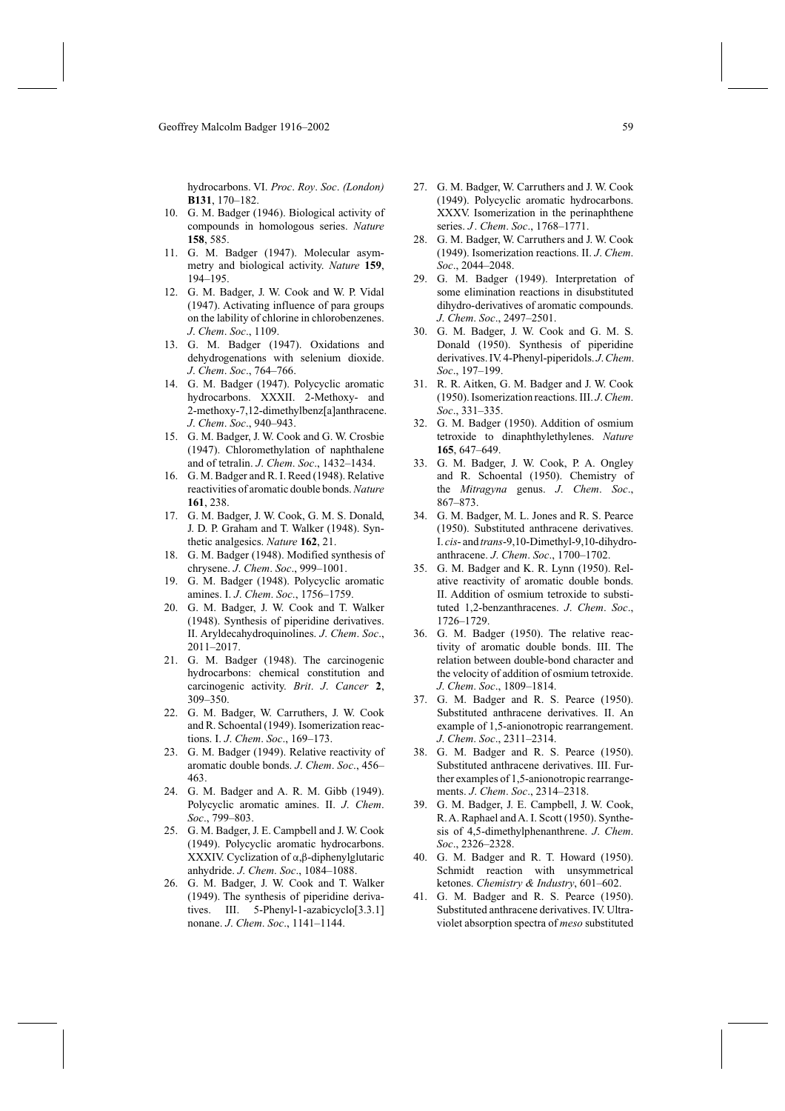hydrocarbons. VI. *Proc*. *Roy*. *Soc*. *(London)* **B131**, 170–182.

- 10. G. M. Badger (1946). Biological activity of compounds in homologous series. *Nature* **158**, 585.
- 11. G. M. Badger (1947). Molecular asymmetry and biological activity. *Nature* **159**, 194–195.
- 12. G. M. Badger, J. W. Cook and W. P. Vidal (1947). Activating influence of para groups on the lability of chlorine in chlorobenzenes. *J*. *Chem*. *Soc*., 1109.
- 13. G. M. Badger (1947). Oxidations and dehydrogenations with selenium dioxide. *J*. *Chem*. *Soc*., 764–766.
- 14. G. M. Badger (1947). Polycyclic aromatic hydrocarbons. XXXII. 2-Methoxy- and 2-methoxy-7,12-dimethylbenz[a]anthracene. *J*. *Chem*. *Soc*., 940–943.
- 15. G. M. Badger, J. W. Cook and G. W. Crosbie (1947). Chloromethylation of naphthalene and of tetralin. *J*. *Chem*. *Soc*., 1432–1434.
- 16. G. M. Badger and R. I. Reed (1948). Relative reactivities of aromatic double bonds.*Nature* **161**, 238.
- 17. G. M. Badger, J. W. Cook, G. M. S. Donald, J. D. P. Graham and T. Walker (1948). Synthetic analgesics. *Nature* **162**, 21.
- 18. G. M. Badger (1948). Modified synthesis of chrysene. *J*. *Chem*. *Soc*., 999–1001.
- 19. G. M. Badger (1948). Polycyclic aromatic amines. I. *J*. *Chem*. *Soc*., 1756–1759.
- 20. G. M. Badger, J. W. Cook and T. Walker (1948). Synthesis of piperidine derivatives. II. Aryldecahydroquinolines. *J*. *Chem*. *Soc*., 2011–2017.
- 21. G. M. Badger (1948). The carcinogenic hydrocarbons: chemical constitution and carcinogenic activity. *Brit*. *J*. *Cancer* **2**, 309–350.
- 22. G. M. Badger, W. Carruthers, J. W. Cook and R. Schoental (1949). Isomerization reactions. I. *J*. *Chem*. *Soc*., 169–173.
- 23. G. M. Badger (1949). Relative reactivity of aromatic double bonds. *J*. *Chem*. *Soc*., 456– 463.
- 24. G. M. Badger and A. R. M. Gibb (1949). Polycyclic aromatic amines. II. *J*. *Chem*. *Soc*., 799–803.
- 25. G. M. Badger, J. E. Campbell and J. W. Cook (1949). Polycyclic aromatic hydrocarbons. XXXIV. Cyclization of α,β-diphenylglutaric anhydride. *J*. *Chem*. *Soc*., 1084–1088.
- 26. G. M. Badger, J. W. Cook and T. Walker (1949). The synthesis of piperidine derivatives. III. 5-Phenyl-1-azabicyclo[3.3.1] nonane. *J*. *Chem*. *Soc*., 1141–1144.
- 27. G. M. Badger, W. Carruthers and J. W. Cook (1949). Polycyclic aromatic hydrocarbons. XXXV. Isomerization in the perinaphthene series. *J* . *Chem*. *Soc*., 1768–1771.
- 28. G. M. Badger, W. Carruthers and J. W. Cook (1949). Isomerization reactions. II. *J*. *Chem*. *Soc*., 2044–2048.
- 29. G. M. Badger (1949). Interpretation of some elimination reactions in disubstituted dihydro-derivatives of aromatic compounds. *J*. *Chem*. *Soc*., 2497–2501.
- 30. G. M. Badger, J. W. Cook and G. M. S. Donald (1950). Synthesis of piperidine derivatives. IV. 4-Phenyl-piperidols. *J*.*Chem*. *Soc*., 197–199.
- 31. R. R. Aitken, G. M. Badger and J. W. Cook (1950). Isomerization reactions. III. *J*.*Chem*. *Soc*., 331–335.
- 32. G. M. Badger (1950). Addition of osmium tetroxide to dinaphthylethylenes. *Nature* **165**, 647–649.
- 33. G. M. Badger, J. W. Cook, P. A. Ongley and R. Schoental (1950). Chemistry of the *Mitragyna* genus. *J*. *Chem*. *Soc*., 867–873.
- 34. G. M. Badger, M. L. Jones and R. S. Pearce (1950). Substituted anthracene derivatives. I. *cis*- and *trans*-9,10-Dimethyl-9,10-dihydroanthracene. *J*. *Chem*. *Soc*., 1700–1702.
- 35. G. M. Badger and K. R. Lynn (1950). Relative reactivity of aromatic double bonds. II. Addition of osmium tetroxide to substituted 1,2-benzanthracenes. *J*. *Chem*. *Soc*., 1726–1729.
- 36. G. M. Badger (1950). The relative reactivity of aromatic double bonds. III. The relation between double-bond character and the velocity of addition of osmium tetroxide. *J*. *Chem*. *Soc*., 1809–1814.
- 37. G. M. Badger and R. S. Pearce (1950). Substituted anthracene derivatives. II. An example of 1,5-anionotropic rearrangement. *J*. *Chem*. *Soc*., 2311–2314.
- 38. G. M. Badger and R. S. Pearce (1950). Substituted anthracene derivatives. III. Further examples of 1,5-anionotropic rearrangements. *J*. *Chem*. *Soc*., 2314–2318.
- 39. G. M. Badger, J. E. Campbell, J. W. Cook, R. A. Raphael and A. I. Scott (1950). Synthesis of 4,5-dimethylphenanthrene. *J*. *Chem*. *Soc*., 2326–2328.
- 40. G. M. Badger and R. T. Howard (1950). Schmidt reaction with unsymmetrical ketones. *Chemistry & Industry*, 601–602.
- 41. G. M. Badger and R. S. Pearce (1950). Substituted anthracene derivatives. IV. Ultraviolet absorption spectra of *meso* substituted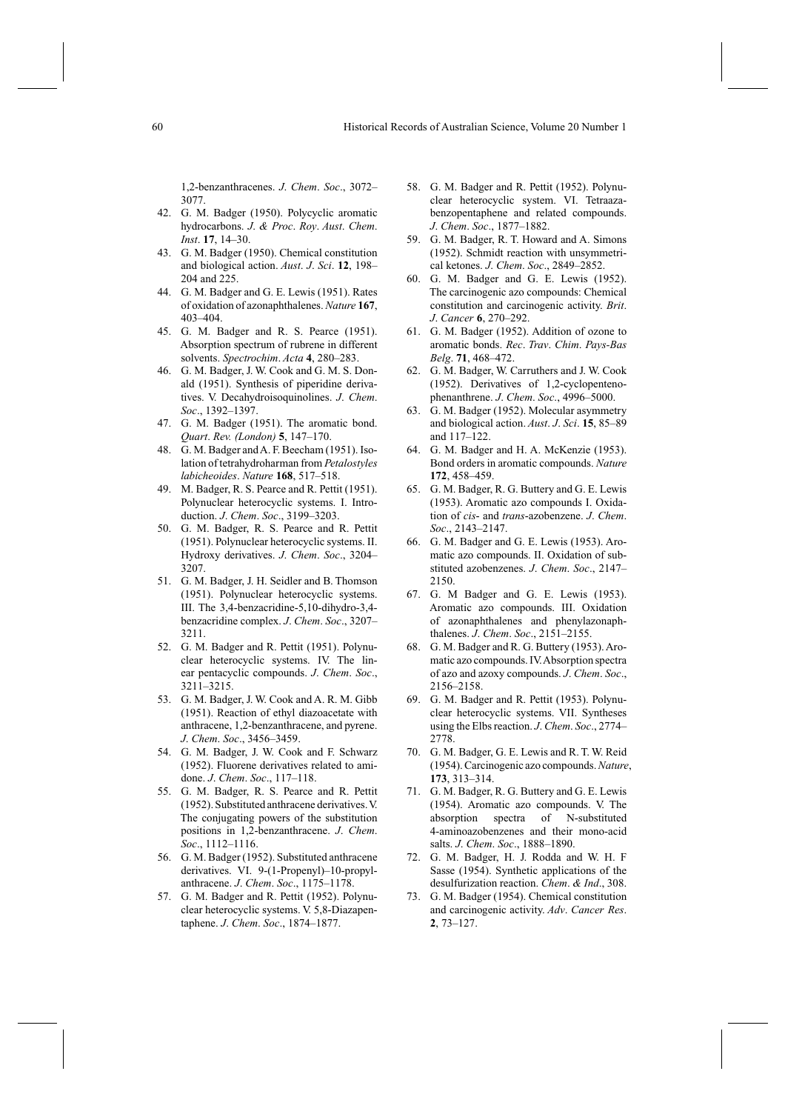1,2-benzanthracenes. *J*. *Chem*. *Soc*., 3072– 3077.

- 42. G. M. Badger (1950). Polycyclic aromatic hydrocarbons. *J*. *& Proc*. *Roy*. *Aust*. *Chem*. *Inst*. **17**, 14–30.
- 43. G. M. Badger (1950). Chemical constitution and biological action. *Aust*. *J*. *Sci*. **12**, 198– 204 and 225.
- 44. G. M. Badger and G. E. Lewis (1951). Rates of oxidation of azonaphthalenes.*Nature* **167**, 403–404.
- 45. G. M. Badger and R. S. Pearce (1951). Absorption spectrum of rubrene in different solvents. *Spectrochim*. *Acta* **4**, 280–283.
- 46. G. M. Badger, J. W. Cook and G. M. S. Donald (1951). Synthesis of piperidine derivatives. V. Decahydroisoquinolines. *J*. *Chem*. *Soc*., 1392–1397.
- 47. G. M. Badger (1951). The aromatic bond. *Quart*. *Rev. (London)* **5**, 147–170.
- 48. G. M. Badger andA. F. Beecham (1951). Isolation of tetrahydroharman from *Petalostyles labicheoides*. *Nature* **168**, 517–518.
- 49. M. Badger, R. S. Pearce and R. Pettit (1951). Polynuclear heterocyclic systems. I. Introduction. *J*. *Chem*. *Soc*., 3199–3203.
- 50. G. M. Badger, R. S. Pearce and R. Pettit (1951). Polynuclear heterocyclic systems. II. Hydroxy derivatives. *J*. *Chem*. *Soc*., 3204– 3207.
- 51. G. M. Badger, J. H. Seidler and B. Thomson (1951). Polynuclear heterocyclic systems. III. The 3,4-benzacridine-5,10-dihydro-3,4 benzacridine complex. *J*. *Chem*. *Soc*., 3207– 3211.
- 52. G. M. Badger and R. Pettit (1951). Polynuclear heterocyclic systems. IV. The linear pentacyclic compounds. *J*. *Chem*. *Soc*., 3211–3215.
- 53. G. M. Badger, J. W. Cook and A. R. M. Gibb (1951). Reaction of ethyl diazoacetate with anthracene, 1,2-benzanthracene, and pyrene. *J*. *Chem*. *Soc*., 3456–3459.
- 54. G. M. Badger, J. W. Cook and F. Schwarz (1952). Fluorene derivatives related to amidone. *J*. *Chem*. *Soc*., 117–118.
- 55. G. M. Badger, R. S. Pearce and R. Pettit (1952). Substituted anthracene derivatives.V. The conjugating powers of the substitution positions in 1,2-benzanthracene. *J*. *Chem*. *Soc*., 1112–1116.
- 56. G. M. Badger (1952). Substituted anthracene derivatives. VI. 9-(1-Propenyl)–10-propylanthracene. *J*. *Chem*. *Soc*., 1175–1178.
- 57. G. M. Badger and R. Pettit (1952). Polynuclear heterocyclic systems. V. 5,8-Diazapentaphene. *J*. *Chem*. *Soc*., 1874–1877.
- 58. G. M. Badger and R. Pettit (1952). Polynuclear heterocyclic system. VI. Tetraazabenzopentaphene and related compounds. *J*. *Chem*. *Soc*., 1877–1882.
- 59. G. M. Badger, R. T. Howard and A. Simons (1952). Schmidt reaction with unsymmetrical ketones. *J*. *Chem*. *Soc*., 2849–2852.
- 60. G. M. Badger and G. E. Lewis (1952). The carcinogenic azo compounds: Chemical constitution and carcinogenic activity. *Brit*. *J*. *Cancer* **6**, 270–292.
- 61. G. M. Badger (1952). Addition of ozone to aromatic bonds. *Rec*. *Trav*. *Chim*. *Pays-Bas Belg*. **71**, 468–472.
- 62. G. M. Badger, W. Carruthers and J. W. Cook (1952). Derivatives of 1,2-cyclopentenophenanthrene. *J*. *Chem*. *Soc*., 4996–5000.
- 63. G. M. Badger (1952). Molecular asymmetry and biological action. *Aust*. *J*. *Sci*. **15**, 85–89 and 117–122.
- 64. G. M. Badger and H. A. McKenzie (1953). Bond orders in aromatic compounds. *Nature* **172**, 458–459.
- 65. G. M. Badger, R. G. Buttery and G. E. Lewis (1953). Aromatic azo compounds I. Oxidation of *cis*- and *trans*-azobenzene. *J*. *Chem*. *Soc*., 2143–2147.
- 66. G. M. Badger and G. E. Lewis (1953). Aromatic azo compounds. II. Oxidation of substituted azobenzenes. *J*. *Chem*. *Soc*., 2147– 2150.
- 67. G. M Badger and G. E. Lewis (1953). Aromatic azo compounds. III. Oxidation of azonaphthalenes and phenylazonaphthalenes. *J*. *Chem*. *Soc*., 2151–2155.
- 68. G. M. Badger and R. G. Buttery (1953). Aromatic azo compounds. IV.Absorption spectra of azo and azoxy compounds. *J*. *Chem*. *Soc*., 2156–2158.
- 69. G. M. Badger and R. Pettit (1953). Polynuclear heterocyclic systems. VII. Syntheses using the Elbs reaction. *J*. *Chem*. *Soc*., 2774– 2778.
- 70. G. M. Badger, G. E. Lewis and R. T. W. Reid (1954). Carcinogenic azo compounds.*Nature*, **173**, 313–314.
- 71. G. M. Badger, R. G. Buttery and G. E. Lewis (1954). Aromatic azo compounds. V. The absorption spectra of N-substituted 4-aminoazobenzenes and their mono-acid salts. *J*. *Chem*. *Soc*., 1888–1890.
- 72. G. M. Badger, H. J. Rodda and W. H. F Sasse (1954). Synthetic applications of the desulfurization reaction. *Chem*. *& Ind*., 308.
- 73. G. M. Badger (1954). Chemical constitution and carcinogenic activity. *Adv*. *Cancer Res*. **2**, 73–127.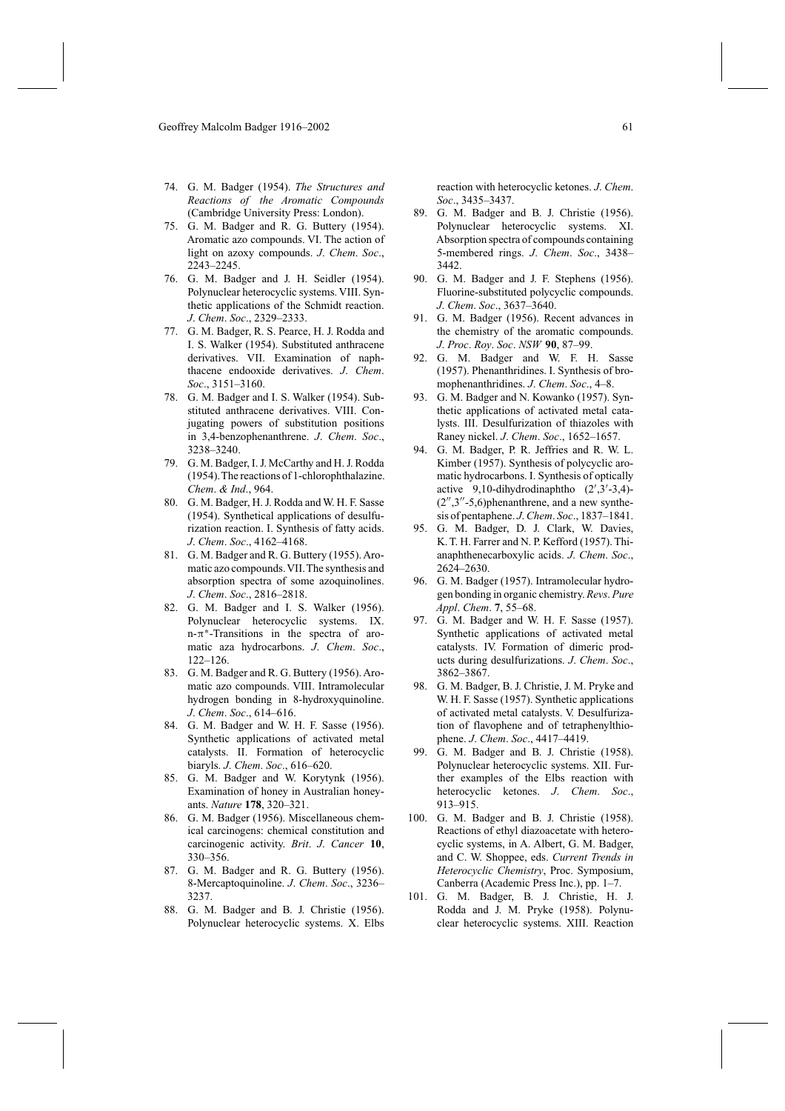- 74. G. M. Badger (1954). *The Structures and Reactions of the Aromatic Compounds* (Cambridge University Press: London).
- 75. G. M. Badger and R. G. Buttery (1954). Aromatic azo compounds. VI. The action of light on azoxy compounds. *J*. *Chem*. *Soc*., 2243–2245.
- 76. G. M. Badger and J. H. Seidler (1954). Polynuclear heterocyclic systems. VIII. Synthetic applications of the Schmidt reaction. *J*. *Chem*. *Soc*., 2329–2333.
- 77. G. M. Badger, R. S. Pearce, H. J. Rodda and I. S. Walker (1954). Substituted anthracene derivatives. VII. Examination of naphthacene endooxide derivatives. *J*. *Chem*. *Soc*., 3151–3160.
- 78. G. M. Badger and I. S. Walker (1954). Substituted anthracene derivatives. VIII. Conjugating powers of substitution positions in 3,4-benzophenanthrene. *J*. *Chem*. *Soc*., 3238–3240.
- 79. G. M. Badger, I. J. McCarthy and H. J. Rodda (1954).The reactions of 1-chlorophthalazine. *Chem*. *& Ind*., 964.
- 80. G. M. Badger, H. J. Rodda and W. H. F. Sasse (1954). Synthetical applications of desulfurization reaction. I. Synthesis of fatty acids. *J*. *Chem*. *Soc*., 4162–4168.
- 81. G. M. Badger and R. G. Buttery (1955). Aromatic azo compounds.VII.The synthesis and absorption spectra of some azoquinolines. *J*. *Chem*. *Soc*., 2816–2818.
- 82. G. M. Badger and I. S. Walker (1956). Polynuclear heterocyclic systems. IX. n-π∗-Transitions in the spectra of aromatic aza hydrocarbons. *J*. *Chem*. *Soc*., 122–126.
- 83. G. M. Badger and R. G. Buttery (1956). Aromatic azo compounds. VIII. Intramolecular hydrogen bonding in 8-hydroxyquinoline. *J*. *Chem*. *Soc*., 614–616.
- 84. G. M. Badger and W. H. F. Sasse (1956). Synthetic applications of activated metal catalysts. II. Formation of heterocyclic biaryls. *J*. *Chem*. *Soc*., 616–620.
- 85. G. M. Badger and W. Korytynk (1956). Examination of honey in Australian honeyants. *Nature* **178**, 320–321.
- 86. G. M. Badger (1956). Miscellaneous chemical carcinogens: chemical constitution and carcinogenic activity. *Brit*. *J*. *Cancer* **10**, 330–356.
- 87. G. M. Badger and R. G. Buttery (1956). 8-Mercaptoquinoline. *J*. *Chem*. *Soc*., 3236– 3237.
- 88. G. M. Badger and B. J. Christie (1956). Polynuclear heterocyclic systems. X. Elbs

reaction with heterocyclic ketones. *J*. *Chem*. *Soc*., 3435–3437.

- 89. G. M. Badger and B. J. Christie (1956). Polynuclear heterocyclic systems. XI. Absorption spectra of compounds containing 5-membered rings. *J*. *Chem*. *Soc*., 3438– 3442.
- 90. G. M. Badger and J. F. Stephens (1956). Fluorine-substituted polycyclic compounds. *J*. *Chem*. *Soc*., 3637–3640.
- 91. G. M. Badger (1956). Recent advances in the chemistry of the aromatic compounds. *J*. *Proc*. *Roy*. *Soc*. *NSW* **90**, 87–99.
- 92. G. M. Badger and W. F. H. Sasse (1957). Phenanthridines. I. Synthesis of bromophenanthridines. *J*. *Chem*. *Soc*., 4–8.
- 93. G. M. Badger and N. Kowanko (1957). Synthetic applications of activated metal catalysts. III. Desulfurization of thiazoles with Raney nickel. *J*. *Chem*. *Soc*., 1652–1657.
- 94. G. M. Badger, P. R. Jeffries and R. W. L. Kimber (1957). Synthesis of polycyclic aromatic hydrocarbons. I. Synthesis of optically active  $9,10$ -dihydrodinaphtho  $(2',3'-3,4)$ - $(2'',3''-5,6)$ phenanthrene, and a new synthesis of pentaphene. *J*.*Chem*. *Soc*., 1837–1841.
- 95. G. M. Badger, D. J. Clark, W. Davies, K. T. H. Farrer and N. P. Kefford (1957). Thianaphthenecarboxylic acids. *J*. *Chem*. *Soc*., 2624–2630.
- 96. G. M. Badger (1957). Intramolecular hydrogen bonding in organic chemistry. *Revs*. *Pure Appl*. *Chem*. **7**, 55–68.
- 97. G. M. Badger and W. H. F. Sasse (1957). Synthetic applications of activated metal catalysts. IV. Formation of dimeric products during desulfurizations. *J*. *Chem*. *Soc*., 3862–3867.
- 98. G. M. Badger, B. J. Christie, J. M. Pryke and W. H. F. Sasse (1957). Synthetic applications of activated metal catalysts. V. Desulfurization of flavophene and of tetraphenylthiophene. *J*. *Chem*. *Soc*., 4417–4419.
- 99. G. M. Badger and B. J. Christie (1958). Polynuclear heterocyclic systems. XII. Further examples of the Elbs reaction with heterocyclic ketones. *J*. *Chem*. *Soc*., 913–915.
- 100. G. M. Badger and B. J. Christie (1958). Reactions of ethyl diazoacetate with heterocyclic systems, in A. Albert, G. M. Badger, and C. W. Shoppee, eds. *Current Trends in Heterocyclic Chemistry*, Proc. Symposium, Canberra (Academic Press Inc.), pp. 1–7.
- 101. G. M. Badger, B. J. Christie, H. J. Rodda and J. M. Pryke (1958). Polynuclear heterocyclic systems. XIII. Reaction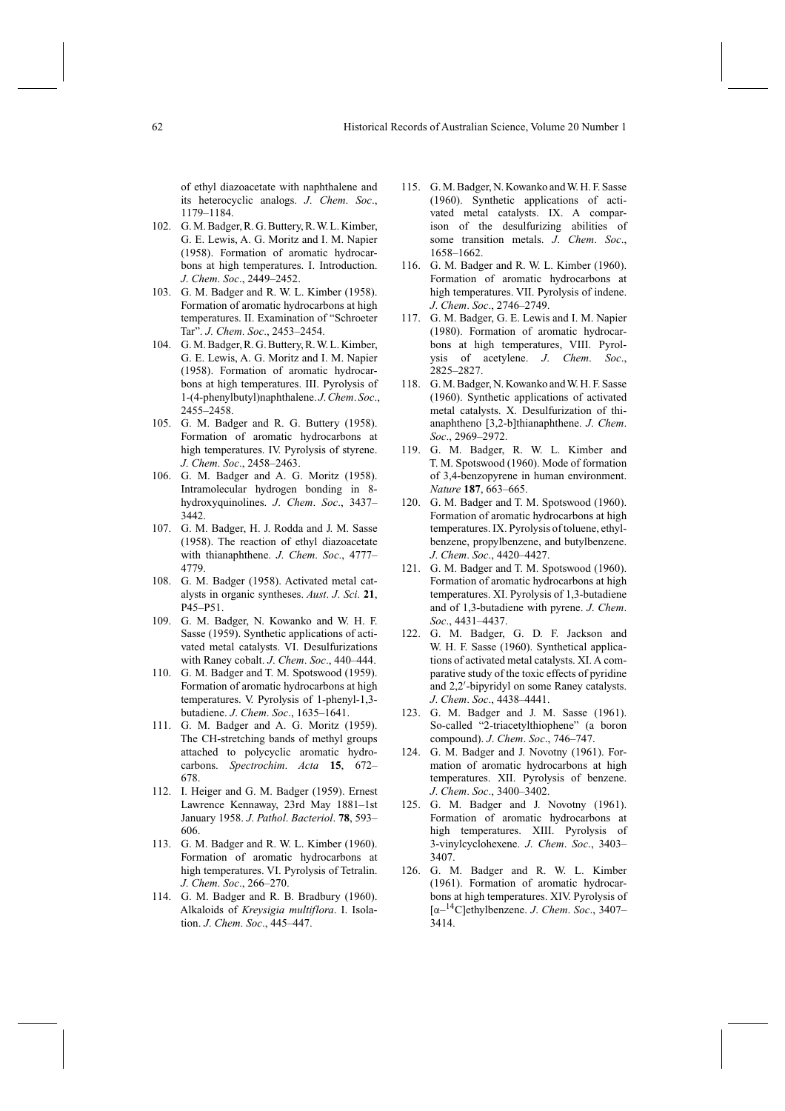of ethyl diazoacetate with naphthalene and its heterocyclic analogs. *J*. *Chem*. *Soc*., 1179–1184.

- 102. G. M. Badger, R. G. Buttery, R.W. L. Kimber, G. E. Lewis, A. G. Moritz and I. M. Napier (1958). Formation of aromatic hydrocarbons at high temperatures. I. Introduction. *J*. *Chem*. *Soc*., 2449–2452.
- 103. G. M. Badger and R. W. L. Kimber (1958). Formation of aromatic hydrocarbons at high temperatures. II. Examination of "Schroeter Tar". *J*. *Chem*. *Soc*., 2453–2454.
- 104. G. M. Badger, R. G. Buttery, R.W. L. Kimber, G. E. Lewis, A. G. Moritz and I. M. Napier (1958). Formation of aromatic hydrocarbons at high temperatures. III. Pyrolysis of 1-(4-phenylbutyl)naphthalene. *J*.*Chem*. *Soc*., 2455–2458.
- 105. G. M. Badger and R. G. Buttery (1958). Formation of aromatic hydrocarbons at high temperatures. IV. Pyrolysis of styrene. *J*. *Chem*. *Soc*., 2458–2463.
- 106. G. M. Badger and A. G. Moritz (1958). Intramolecular hydrogen bonding in 8 hydroxyquinolines. *J*. *Chem*. *Soc*., 3437– 3442.
- 107. G. M. Badger, H. J. Rodda and J. M. Sasse (1958). The reaction of ethyl diazoacetate with thianaphthene. *J*. *Chem*. *Soc*., 4777– 4779.
- 108. G. M. Badger (1958). Activated metal catalysts in organic syntheses. *Aust*. *J*. *Sci*. **21**, P45–P51.
- 109. G. M. Badger, N. Kowanko and W. H. F. Sasse (1959). Synthetic applications of activated metal catalysts. VI. Desulfurizations with Raney cobalt. *J*. *Chem*. *Soc*., 440–444.
- 110. G. M. Badger and T. M. Spotswood (1959). Formation of aromatic hydrocarbons at high temperatures. V. Pyrolysis of 1-phenyl-1,3 butadiene. *J*. *Chem*. *Soc*., 1635–1641.
- 111. G. M. Badger and A. G. Moritz (1959). The CH-stretching bands of methyl groups attached to polycyclic aromatic hydrocarbons. *Spectrochim*. *Acta* **15**, 672– 678.
- 112. I. Heiger and G. M. Badger (1959). Ernest Lawrence Kennaway, 23rd May 1881–1st January 1958. *J*. *Pathol*. *Bacteriol*. **78**, 593– 606.
- 113. G. M. Badger and R. W. L. Kimber (1960). Formation of aromatic hydrocarbons at high temperatures. VI. Pyrolysis of Tetralin. *J*. *Chem*. *Soc*., 266–270.
- 114. G. M. Badger and R. B. Bradbury (1960). Alkaloids of *Kreysigia multiflora*. I. Isolation. *J*. *Chem*. *Soc*., 445–447.
- 115. G. M. Badger, N. Kowanko andW. H. F. Sasse (1960). Synthetic applications of activated metal catalysts. IX. A comparison of the desulfurizing abilities of some transition metals. *J*. *Chem*. *Soc*., 1658–1662.
- 116. G. M. Badger and R. W. L. Kimber (1960). Formation of aromatic hydrocarbons at high temperatures. VII. Pyrolysis of indene. *J*. *Chem*. *Soc*., 2746–2749.
- 117. G. M. Badger, G. E. Lewis and I. M. Napier (1980). Formation of aromatic hydrocarbons at high temperatures, VIII. Pyrolysis of acetylene. *J*. *Chem*. *Soc*., 2825–2827.
- 118. G. M. Badger, N. Kowanko andW. H. F. Sasse (1960). Synthetic applications of activated metal catalysts. X. Desulfurization of thianaphtheno [3,2-b]thianaphthene. *J*. *Chem*. *Soc*., 2969–2972.
- 119. G. M. Badger, R. W. L. Kimber and T. M. Spotswood (1960). Mode of formation of 3,4-benzopyrene in human environment. *Nature* **187**, 663–665.
- 120. G. M. Badger and T. M. Spotswood (1960). Formation of aromatic hydrocarbons at high temperatures. IX. Pyrolysis of toluene, ethylbenzene, propylbenzene, and butylbenzene. *J*. *Chem*. *Soc*., 4420–4427.
- 121. G. M. Badger and T. M. Spotswood (1960). Formation of aromatic hydrocarbons at high temperatures. XI. Pyrolysis of 1,3-butadiene and of 1,3-butadiene with pyrene. *J*. *Chem*. *Soc*., 4431–4437.
- 122. G. M. Badger, G. D. F. Jackson and W. H. F. Sasse (1960). Synthetical applications of activated metal catalysts. XI. A comparative study of the toxic effects of pyridine and 2,2 -bipyridyl on some Raney catalysts. *J*. *Chem*. *Soc*., 4438–4441.
- 123. G. M. Badger and J. M. Sasse (1961). So-called "2-triacetylthiophene" (a boron compound). *J*. *Chem*. *Soc*., 746–747.
- 124. G. M. Badger and J. Novotny (1961). Formation of aromatic hydrocarbons at high temperatures. XII. Pyrolysis of benzene. *J*. *Chem*. *Soc*., 3400–3402.
- 125. G. M. Badger and J. Novotny (1961). Formation of aromatic hydrocarbons at high temperatures. XIII. Pyrolysis of 3-vinylcyclohexene. *J*. *Chem*. *Soc*., 3403– 3407.
- 126. G. M. Badger and R. W. L. Kimber (1961). Formation of aromatic hydrocarbons at high temperatures. XIV. Pyrolysis of [α–14C]ethylbenzene. *J*. *Chem*. *Soc*., 3407– 3414.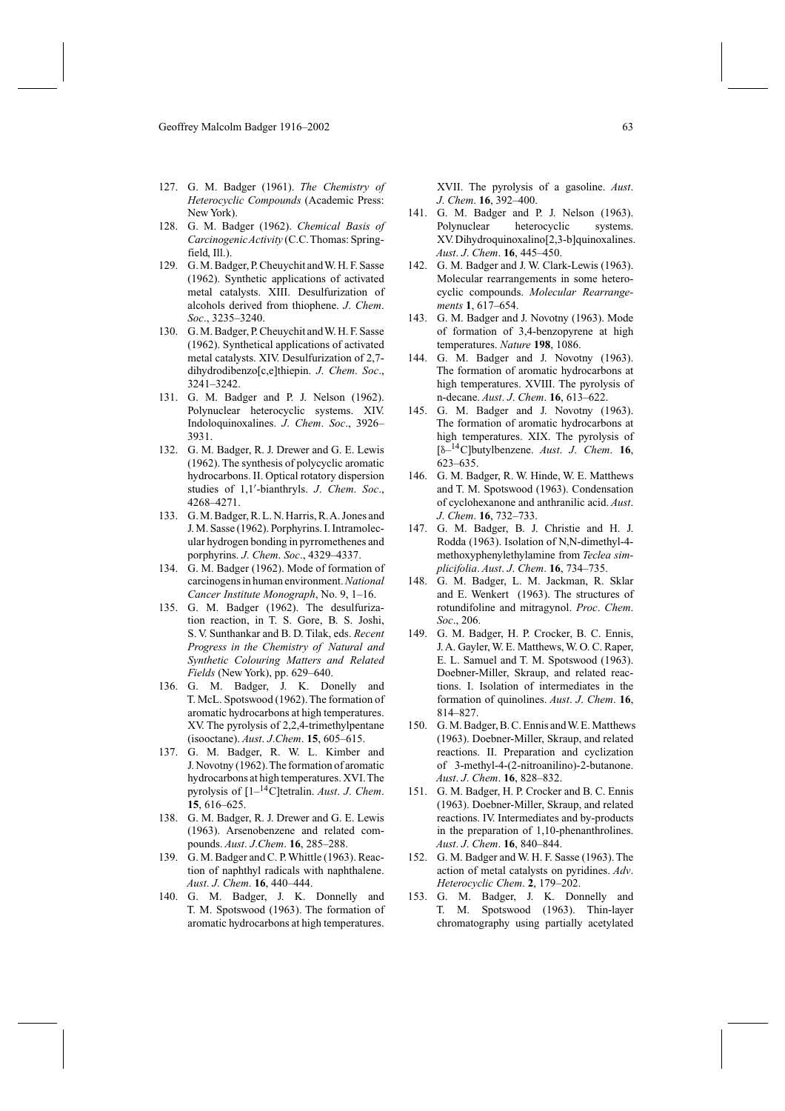- 127. G. M. Badger (1961). *The Chemistry of Heterocyclic Compounds* (Academic Press: New York).
- 128. G. M. Badger (1962). *Chemical Basis of CarcinogenicActivity* (C.C.Thomas: Springfield, Ill.).
- 129. G. M. Badger, P. Cheuychit and W. H. F. Sasse (1962). Synthetic applications of activated metal catalysts. XIII. Desulfurization of alcohols derived from thiophene. *J*. *Chem*. *Soc*., 3235–3240.
- 130. G. M. Badger, P. Cheuychit andW. H. F. Sasse (1962). Synthetical applications of activated metal catalysts. XIV. Desulfurization of 2,7 dihydrodibenzo[c,e]thiepin. *J*. *Chem*. *Soc*., 3241–3242.
- 131. G. M. Badger and P. J. Nelson (1962). Polynuclear heterocyclic systems. XIV. Indoloquinoxalines. *J*. *Chem*. *Soc*., 3926– 3931.
- 132. G. M. Badger, R. J. Drewer and G. E. Lewis (1962). The synthesis of polycyclic aromatic hydrocarbons. II. Optical rotatory dispersion studies of 1,1 -bianthryls. *J*. *Chem*. *Soc*., 4268–4271.
- 133. G. M. Badger, R. L. N. Harris, R.A. Jones and J. M. Sasse (1962). Porphyrins. I. Intramolecular hydrogen bonding in pyrromethenes and porphyrins. *J*. *Chem*. *Soc*., 4329–4337.
- 134. G. M. Badger (1962). Mode of formation of carcinogens in human environment.*National Cancer Institute Monograph*, No. 9, 1–16.
- 135. G. M. Badger (1962). The desulfurization reaction, in T. S. Gore, B. S. Joshi, S. V. Sunthankar and B. D. Tilak, eds. *Recent Progress in the Chemistry of Natural and Synthetic Colouring Matters and Related Fields* (New York), pp. 629–640.
- 136. G. M. Badger, J. K. Donelly and T. McL. Spotswood (1962). The formation of aromatic hydrocarbons at high temperatures. XV. The pyrolysis of 2,2,4-trimethylpentane (isooctane). *Aust*. *J*.*Chem*. **15**, 605–615.
- 137. G. M. Badger, R. W. L. Kimber and J. Novotny (1962).The formation of aromatic hydrocarbons at high temperatures. XVI.The pyrolysis of [1–14C]tetralin. *Aust*. *J*. *Chem*. **15**, 616–625.
- 138. G. M. Badger, R. J. Drewer and G. E. Lewis (1963). Arsenobenzene and related compounds. *Aust*. *J*.*Chem*. **16**, 285–288.
- 139. G. M. Badger and C. P. Whittle (1963). Reaction of naphthyl radicals with naphthalene. *Aust*. *J*. *Chem*. **16**, 440–444.
- 140. G. M. Badger, J. K. Donnelly and T. M. Spotswood (1963). The formation of aromatic hydrocarbons at high temperatures.

XVII. The pyrolysis of a gasoline. *Aust*. *J*. *Chem*. **16**, 392–400.

- 141. G. M. Badger and P. J. Nelson (1963). Polynuclear heterocyclic systems. XV. Dihydroquinoxalino[2,3-b]quinoxalines. *Aust*. *J*. *Chem*. **16**, 445–450.
- 142. G. M. Badger and J. W. Clark-Lewis (1963). Molecular rearrangements in some heterocyclic compounds. *Molecular Rearrangements* **1**, 617–654.
- 143. G. M. Badger and J. Novotny (1963). Mode of formation of 3,4-benzopyrene at high temperatures. *Nature* **198**, 1086.
- 144. G. M. Badger and J. Novotny (1963). The formation of aromatic hydrocarbons at high temperatures. XVIII. The pyrolysis of n-decane. *Aust*. *J*. *Chem*. **16**, 613–622.
- 145. G. M. Badger and J. Novotny (1963). The formation of aromatic hydrocarbons at high temperatures. XIX. The pyrolysis of [δ–14C]butylbenzene. *Aust*. *J*. *Chem*. **16**, 623–635.
- 146. G. M. Badger, R. W. Hinde, W. E. Matthews and T. M. Spotswood (1963). Condensation of cyclohexanone and anthranilic acid. *Aust*. *J*. *Chem*. **16**, 732–733.
- 147. G. M. Badger, B. J. Christie and H. J. Rodda (1963). Isolation of N,N-dimethyl-4 methoxyphenylethylamine from *Teclea simplicifolia*. *Aust*. *J*. *Chem*. **16**, 734–735.
- 148. G. M. Badger, L. M. Jackman, R. Sklar and E. Wenkert (1963). The structures of rotundifoline and mitragynol. *Proc*. *Chem*. *Soc*., 206.
- 149. G. M. Badger, H. P. Crocker, B. C. Ennis, J. A. Gayler, W. E. Matthews, W. O. C. Raper, E. L. Samuel and T. M. Spotswood (1963). Doebner-Miller, Skraup, and related reactions. I. Isolation of intermediates in the formation of quinolines. *Aust*. *J*. *Chem*. **16**, 814–827.
- 150. G. M. Badger, B. C. Ennis andW. E. Matthews (1963). Doebner-Miller, Skraup, and related reactions. II. Preparation and cyclization of 3-methyl-4-(2-nitroanilino)-2-butanone. *Aust*. *J*. *Chem*. **16**, 828–832.
- 151. G. M. Badger, H. P. Crocker and B. C. Ennis (1963). Doebner-Miller, Skraup, and related reactions. IV. Intermediates and by-products in the preparation of 1,10-phenanthrolines. *Aust*. *J*. *Chem*. **16**, 840–844.
- 152. G. M. Badger and W. H. F. Sasse (1963). The action of metal catalysts on pyridines. *Adv*. *Heterocyclic Chem*. **2**, 179–202.
- 153. G. M. Badger, J. K. Donnelly and T. M. Spotswood (1963). Thin-layer chromatography using partially acetylated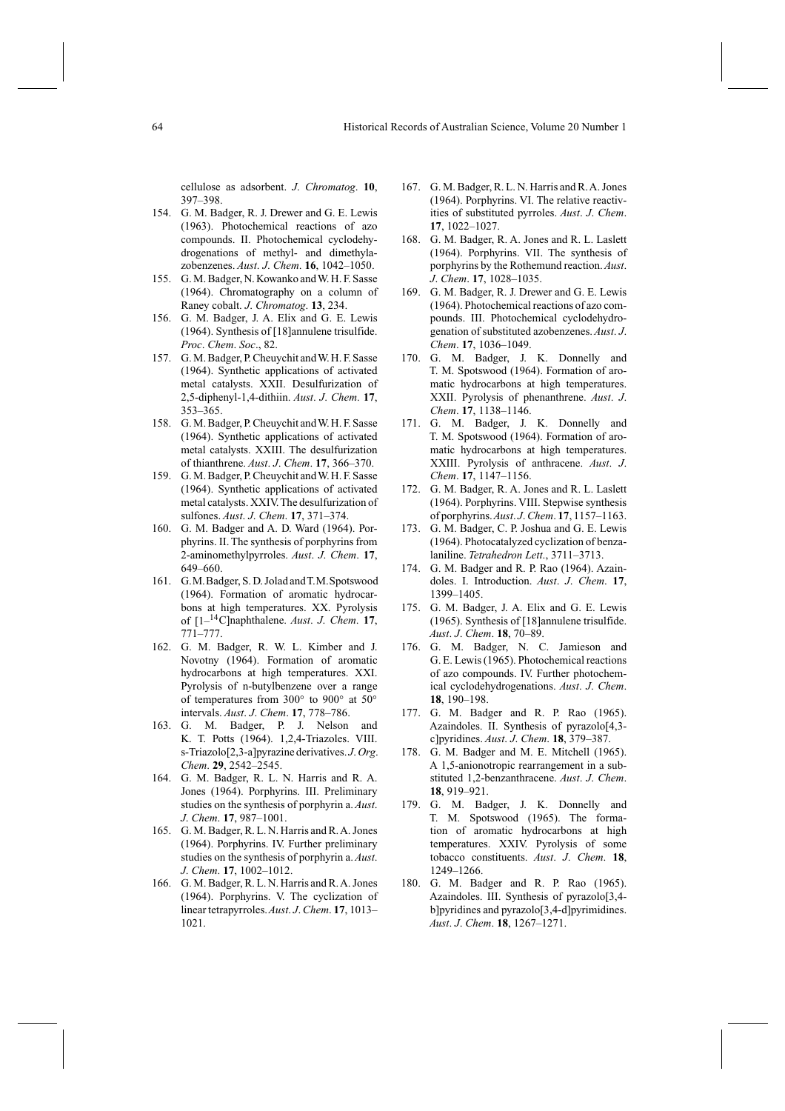cellulose as adsorbent. *J*. *Chromatog*. **10**, 397–398.

- 154. G. M. Badger, R. J. Drewer and G. E. Lewis (1963). Photochemical reactions of azo compounds. II. Photochemical cyclodehydrogenations of methyl- and dimethylazobenzenes. *Aust*. *J*. *Chem*. **16**, 1042–1050.
- 155. G. M. Badger, N. Kowanko andW. H. F. Sasse (1964). Chromatography on a column of Raney cobalt. *J*. *Chromatog*. **13**, 234.
- 156. G. M. Badger, J. A. Elix and G. E. Lewis (1964). Synthesis of [18]annulene trisulfide. *Proc*. *Chem*. *Soc*., 82.
- 157. G. M. Badger, P. Cheuychit and W. H. F. Sasse (1964). Synthetic applications of activated metal catalysts. XXII. Desulfurization of 2,5-diphenyl-1,4-dithiin. *Aust*. *J*. *Chem*. **17**, 353–365.
- 158. G. M. Badger, P. Cheuychit and W. H. F. Sasse (1964). Synthetic applications of activated metal catalysts. XXIII. The desulfurization of thianthrene. *Aust*. *J*. *Chem*. **17**, 366–370.
- 159. G. M. Badger, P. Cheuychit and W. H. F. Sasse (1964). Synthetic applications of activated metal catalysts. XXIV.The desulfurization of sulfones. *Aust*. *J*. *Chem*. **17**, 371–374.
- 160. G. M. Badger and A. D. Ward (1964). Porphyrins. II. The synthesis of porphyrins from 2-aminomethylpyrroles. *Aust*. *J*. *Chem*. **17**, 649–660.
- 161. G.M.Badger, S. D. Jolad andT.M.Spotswood (1964). Formation of aromatic hydrocarbons at high temperatures. XX. Pyrolysis of [1–14C]naphthalene. *Aust*. *J*. *Chem*. **17**, 771–777.
- 162. G. M. Badger, R. W. L. Kimber and J. Novotny (1964). Formation of aromatic hydrocarbons at high temperatures. XXI. Pyrolysis of n-butylbenzene over a range of temperatures from 300◦ to 900◦ at 50◦ intervals. *Aust*. *J*. *Chem*. **17**, 778–786.
- 163. G. M. Badger, P. J. Nelson and K. T. Potts (1964). 1,2,4-Triazoles. VIII. s-Triazolo[2,3-a]pyrazine derivatives. *J*.*Org*. *Chem*. **29**, 2542–2545.
- 164. G. M. Badger, R. L. N. Harris and R. A. Jones (1964). Porphyrins. III. Preliminary studies on the synthesis of porphyrin a. *Aust*. *J*. *Chem*. **17**, 987–1001.
- 165. G. M. Badger, R. L. N. Harris and R.A. Jones (1964). Porphyrins. IV. Further preliminary studies on the synthesis of porphyrin a. *Aust*. *J*. *Chem*. **17**, 1002–1012.
- 166. G. M. Badger, R. L. N. Harris and R.A. Jones (1964). Porphyrins. V. The cyclization of linear tetrapyrroles.*Aust*. *J*. *Chem*. **17**, 1013– 1021.
- 167. G. M. Badger, R. L. N. Harris and R.A. Jones (1964). Porphyrins. VI. The relative reactivities of substituted pyrroles. *Aust*. *J*. *Chem*. **17**, 1022–1027.
- 168. G. M. Badger, R. A. Jones and R. L. Laslett (1964). Porphyrins. VII. The synthesis of porphyrins by the Rothemund reaction.*Aust*. *J*. *Chem*. **17**, 1028–1035.
- 169. G. M. Badger, R. J. Drewer and G. E. Lewis (1964). Photochemical reactions of azo compounds. III. Photochemical cyclodehydrogenation of substituted azobenzenes.*Aust*. *J*. *Chem*. **17**, 1036–1049.
- 170. G. M. Badger, J. K. Donnelly and T. M. Spotswood (1964). Formation of aromatic hydrocarbons at high temperatures. XXII. Pyrolysis of phenanthrene. *Aust*. *J*. *Chem*. **17**, 1138–1146.
- 171. G. M. Badger, J. K. Donnelly and T. M. Spotswood (1964). Formation of aromatic hydrocarbons at high temperatures. XXIII. Pyrolysis of anthracene. *Aust*. *J*. *Chem*. **17**, 1147–1156.
- 172. G. M. Badger, R. A. Jones and R. L. Laslett (1964). Porphyrins. VIII. Stepwise synthesis of porphyrins.*Aust*. *J*.*Chem*. **17**, 1157–1163.
- 173. G. M. Badger, C. P. Joshua and G. E. Lewis (1964). Photocatalyzed cyclization of benzalaniline. *Tetrahedron Lett*., 3711–3713.
- 174. G. M. Badger and R. P. Rao (1964). Azaindoles. I. Introduction. *Aust*. *J*. *Chem*. **17**, 1399–1405.
- 175. G. M. Badger, J. A. Elix and G. E. Lewis (1965). Synthesis of [18]annulene trisulfide. *Aust*. *J*. *Chem*. **18**, 70–89.
- 176. G. M. Badger, N. C. Jamieson and G. E. Lewis (1965). Photochemical reactions of azo compounds. IV. Further photochemical cyclodehydrogenations. *Aust*. *J*. *Chem*. **18**, 190–198.
- 177. G. M. Badger and R. P. Rao (1965). Azaindoles. II. Synthesis of pyrazolo[4,3 c]pyridines. *Aust*. *J*. *Chem*. **18**, 379–387.
- 178. G. M. Badger and M. E. Mitchell (1965). A 1,5-anionotropic rearrangement in a substituted 1,2-benzanthracene. *Aust*. *J*. *Chem*. **18**, 919–921.
- 179. G. M. Badger, J. K. Donnelly and T. M. Spotswood (1965). The formation of aromatic hydrocarbons at high temperatures. XXIV. Pyrolysis of some tobacco constituents. *Aust*. *J*. *Chem*. **18**, 1249–1266.
- 180. G. M. Badger and R. P. Rao (1965). Azaindoles. III. Synthesis of pyrazolo[3,4 b]pyridines and pyrazolo[3,4-d]pyrimidines. *Aust*. *J*. *Chem*. **18**, 1267–1271.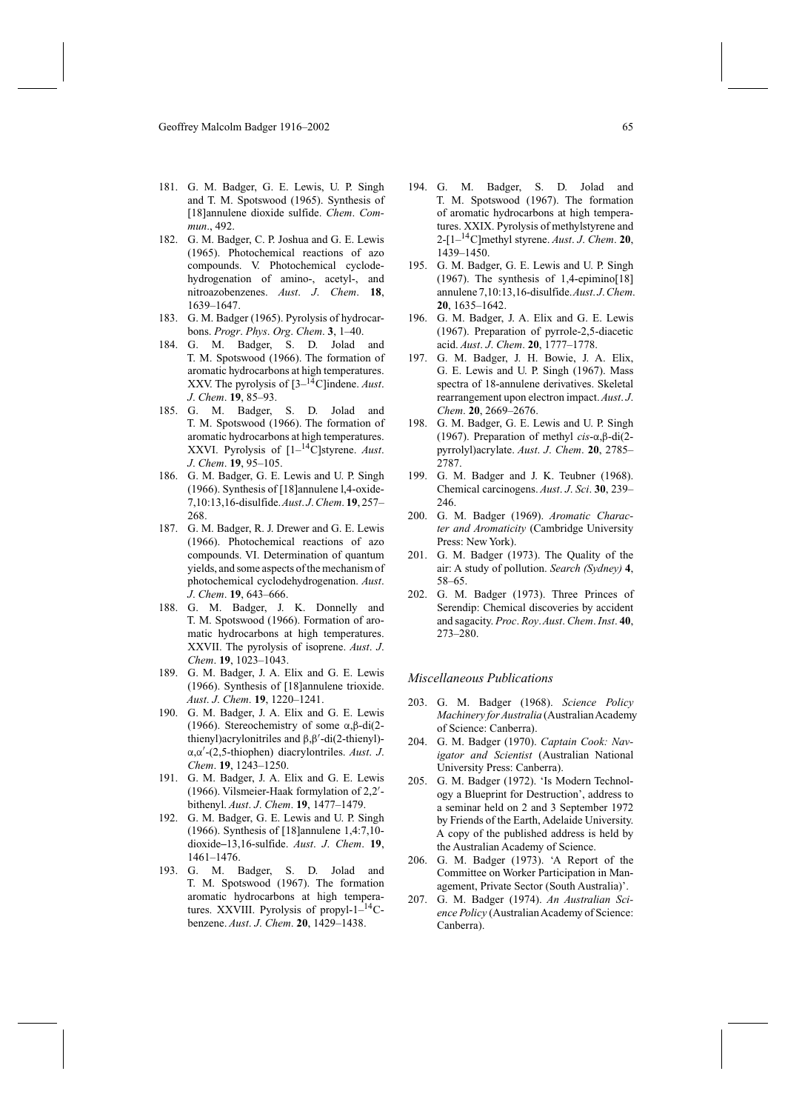- 181. G. M. Badger, G. E. Lewis, U. P. Singh and T. M. Spotswood (1965). Synthesis of [18]annulene dioxide sulfide. *Chem*. *Commun*., 492.
- 182. G. M. Badger, C. P. Joshua and G. E. Lewis (1965). Photochemical reactions of azo compounds. V. Photochemical cyclodehydrogenation of amino-, acetyl-, and nitroazobenzenes. *Aust*. *J*. *Chem*. **18**, 1639–1647.
- 183. G. M. Badger (1965). Pyrolysis of hydrocarbons. *Progr*. *Phys*. *Org*. *Chem*. **3**, 1–40.
- 184. G. M. Badger, S. D. Jolad and T. M. Spotswood (1966). The formation of aromatic hydrocarbons at high temperatures. XXV. The pyrolysis of [3–14C]indene. *Aust*. *J*. *Chem*. **19**, 85–93.
- 185. G. M. Badger, S. D. Jolad and T. M. Spotswood (1966). The formation of aromatic hydrocarbons at high temperatures. XXVI. Pyrolysis of [1–14C]styrene. *Aust*. *J*. *Chem*. **19**, 95–105.
- 186. G. M. Badger, G. E. Lewis and U. P. Singh (1966). Synthesis of [18]annulene l,4-oxide-7,10:13,16-disulfide.*Aust*. *J*.*Chem*. **19**, 257– 268.
- 187. G. M. Badger, R. J. Drewer and G. E. Lewis (1966). Photochemical reactions of azo compounds. VI. Determination of quantum yields, and some aspects of the mechanism of photochemical cyclodehydrogenation. *Aust*. *J*. *Chem*. **19**, 643–666.
- 188. G. M. Badger, J. K. Donnelly and T. M. Spotswood (1966). Formation of aromatic hydrocarbons at high temperatures. XXVII. The pyrolysis of isoprene. *Aust*. *J*. *Chem*. **19**, 1023–1043.
- 189. G. M. Badger, J. A. Elix and G. E. Lewis (1966). Synthesis of [18]annulene trioxide. *Aust*. *J*. *Chem*. **19**, 1220–1241.
- 190. G. M. Badger, J. A. Elix and G. E. Lewis (1966). Stereochemistry of some  $\alpha$ , $\beta$ -di(2thienyl)acrylonitriles and β,β -di(2-thienyl) α,α -(2,5-thiophen) diacrylontriles. *Aust*. *J*. *Chem*. **19**, 1243–1250.
- 191. G. M. Badger, J. A. Elix and G. E. Lewis (1966). Vilsmeier-Haak formylation of 2,2 bithenyl. *Aust*. *J*. *Chem*. **19**, 1477–1479.
- 192. G. M. Badger, G. E. Lewis and U. P. Singh (1966). Synthesis of [18]annulene 1,4:7,10 dioxide**–**13,16-sulfide. *Aust*. *J*. *Chem*. **19**, 1461–1476.
- 193. G. M. Badger, S. D. Jolad and T. M. Spotswood (1967). The formation aromatic hydrocarbons at high temperatures. XXVIII. Pyrolysis of propyl- $1-14^{\circ}C$ benzene. *Aust*. *J*. *Chem*. **20**, 1429–1438.
- 194. G. M. Badger, S. D. Jolad and T. M. Spotswood (1967). The formation of aromatic hydrocarbons at high temperatures. XXIX. Pyrolysis of methylstyrene and 2-[1–14C]methyl styrene. *Aust*. *J*. *Chem*. **20**, 1439–1450.
- 195. G. M. Badger, G. E. Lewis and U. P. Singh (1967). The synthesis of 1,4-epimino[18] annulene 7,10:13,16-disulfide.*Aust*. *J*.*Chem*. **20**, 1635–1642.
- 196. G. M. Badger, J. A. Elix and G. E. Lewis (1967). Preparation of pyrrole-2,5-diacetic acid. *Aust*. *J*. *Chem*. **20**, 1777–1778.
- 197. G. M. Badger, J. H. Bowie, J. A. Elix, G. E. Lewis and U. P. Singh (1967). Mass spectra of 18-annulene derivatives. Skeletal rearrangement upon electron impact.*Aust*. *J*. *Chem*. **20**, 2669–2676.
- 198. G. M. Badger, G. E. Lewis and U. P. Singh (1967). Preparation of methyl *cis*-α,β-di(2 pyrrolyl)acrylate. *Aust*. *J*. *Chem*. **20**, 2785– 2787.
- 199. G. M. Badger and J. K. Teubner (1968). Chemical carcinogens. *Aust*. *J*. *Sci*. **30**, 239– 246.
- 200. G. M. Badger (1969). *Aromatic Character and Aromaticity* (Cambridge University Press: New York).
- 201. G. M. Badger (1973). The Quality of the air: A study of pollution. *Search (Sydney)* **4**, 58–65.
- 202. G. M. Badger (1973). Three Princes of Serendip: Chemical discoveries by accident and sagacity. *Proc*. *Roy*.*Aust*. *Chem*. *Inst*. **40**, 273–280.

### *Miscellaneous Publications*

- 203. G. M. Badger (1968). *Science Policy Machinery for Australia* (Australian Academy of Science: Canberra).
- 204. G. M. Badger (1970). *Captain Cook: Navigator and Scientist* (Australian National University Press: Canberra).
- 205. G. M. Badger (1972). 'Is Modern Technology a Blueprint for Destruction', address to a seminar held on 2 and 3 September 1972 by Friends of the Earth, Adelaide University. A copy of the published address is held by the Australian Academy of Science.
- 206. G. M. Badger (1973). 'A Report of the Committee on Worker Participation in Management, Private Sector (South Australia)'.
- 207. G. M. Badger (1974). *An Australian Science Policy* (Australian Academy of Science: Canberra).